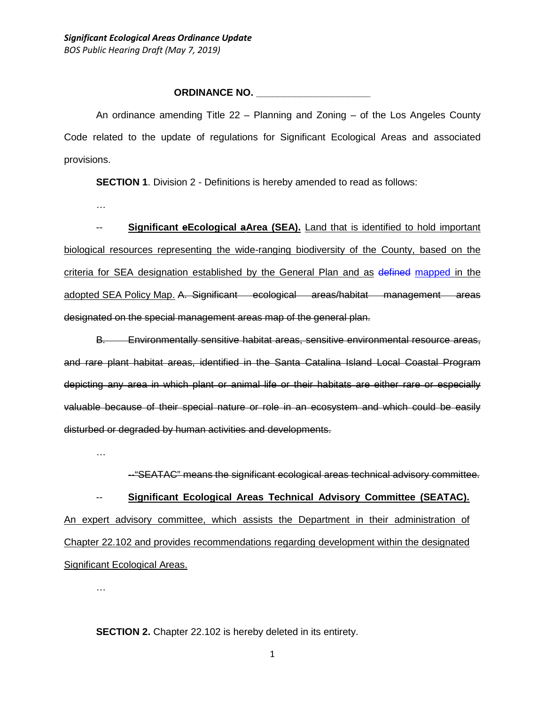### **ORDINANCE NO. \_\_\_\_\_\_\_\_\_\_\_\_\_\_\_\_\_\_\_\_\_**

An ordinance amending Title 22 – Planning and Zoning – of the Los Angeles County Code related to the update of regulations for Significant Ecological Areas and associated provisions.

**SECTION 1.** Division 2 - Definitions is hereby amended to read as follows:

…

-- **Significant eEcological aArea (SEA).** Land that is identified to hold important biological resources representing the wide-ranging biodiversity of the County, based on the criteria for SEA designation established by the General Plan and as defined mapped in the adopted SEA Policy Map. A. Significant ecological areas/habitat management areas designated on the special management areas map of the general plan.

B. Environmentally sensitive habitat areas, sensitive environmental resource areas, and rare plant habitat areas, identified in the Santa Catalina Island Local Coastal Program depicting any area in which plant or animal life or their habitats are either rare or especially valuable because of their special nature or role in an ecosystem and which could be easily disturbed or degraded by human activities and developments.

…

--"SEATAC" means the significant ecological areas technical advisory committee.

-- **Significant Ecological Areas Technical Advisory Committee (SEATAC).** An expert advisory committee, which assists the Department in their administration of Chapter 22.102 and provides recommendations regarding development within the designated

Significant Ecological Areas.

…

**SECTION 2.** Chapter 22.102 is hereby deleted in its entirety.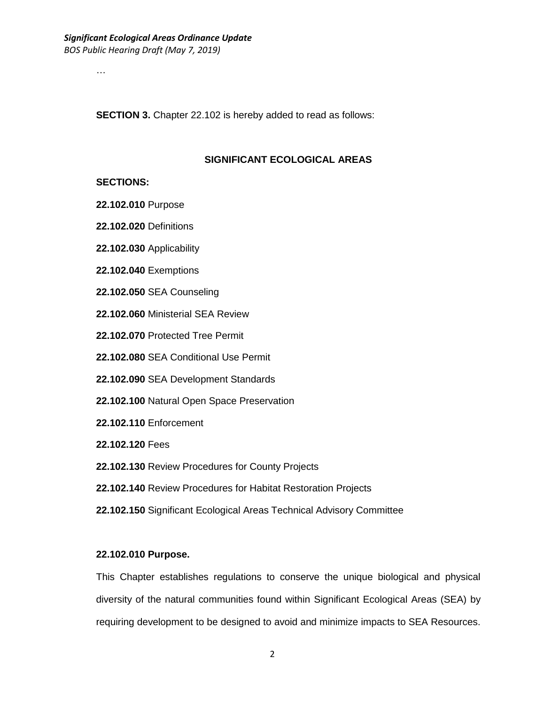…

**SECTION 3.** Chapter 22.102 is hereby added to read as follows:

### **SIGNIFICANT ECOLOGICAL AREAS**

#### **SECTIONS:**

- **22.102.010** Purpose
- **22.102.020** Definitions
- **22.102.030** Applicability
- **22.102.040** Exemptions
- **22.102.050** SEA Counseling
- **22.102.060** Ministerial SEA Review
- **22.102.070** Protected Tree Permit
- **22.102.080** SEA Conditional Use Permit
- **22.102.090** SEA Development Standards
- **22.102.100** Natural Open Space Preservation
- **22.102.110** Enforcement
- **22.102.120** Fees
- **22.102.130** Review Procedures for County Projects
- **22.102.140** Review Procedures for Habitat Restoration Projects
- **22.102.150** Significant Ecological Areas Technical Advisory Committee

### **22.102.010 Purpose.**

This Chapter establishes regulations to conserve the unique biological and physical diversity of the natural communities found within Significant Ecological Areas (SEA) by requiring development to be designed to avoid and minimize impacts to SEA Resources.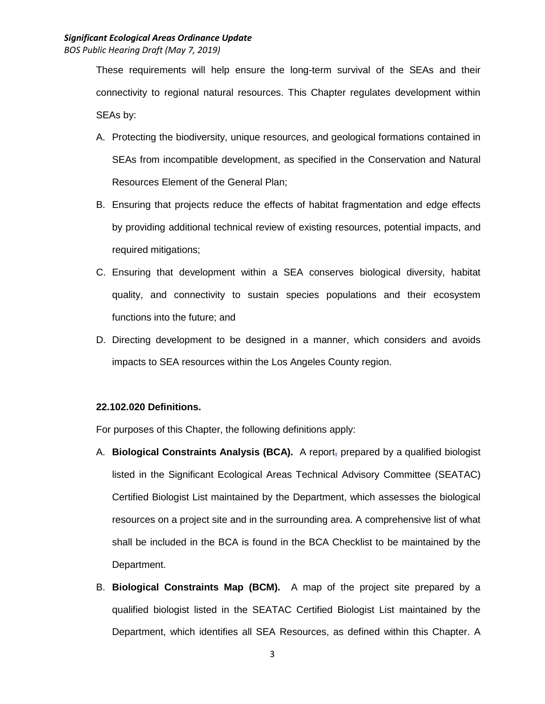These requirements will help ensure the long-term survival of the SEAs and their connectivity to regional natural resources. This Chapter regulates development within SEAs by:

- A. Protecting the biodiversity, unique resources, and geological formations contained in SEAs from incompatible development, as specified in the Conservation and Natural Resources Element of the General Plan;
- B. Ensuring that projects reduce the effects of habitat fragmentation and edge effects by providing additional technical review of existing resources, potential impacts, and required mitigations;
- C. Ensuring that development within a SEA conserves biological diversity, habitat quality, and connectivity to sustain species populations and their ecosystem functions into the future; and
- D. Directing development to be designed in a manner, which considers and avoids impacts to SEA resources within the Los Angeles County region.

## **22.102.020 Definitions.**

For purposes of this Chapter, the following definitions apply:

- A. **Biological Constraints Analysis (BCA).** A report, prepared by a qualified biologist listed in the Significant Ecological Areas Technical Advisory Committee (SEATAC) Certified Biologist List maintained by the Department, which assesses the biological resources on a project site and in the surrounding area. A comprehensive list of what shall be included in the BCA is found in the BCA Checklist to be maintained by the Department.
- B. **Biological Constraints Map (BCM).** A map of the project site prepared by a qualified biologist listed in the SEATAC Certified Biologist List maintained by the Department, which identifies all SEA Resources, as defined within this Chapter. A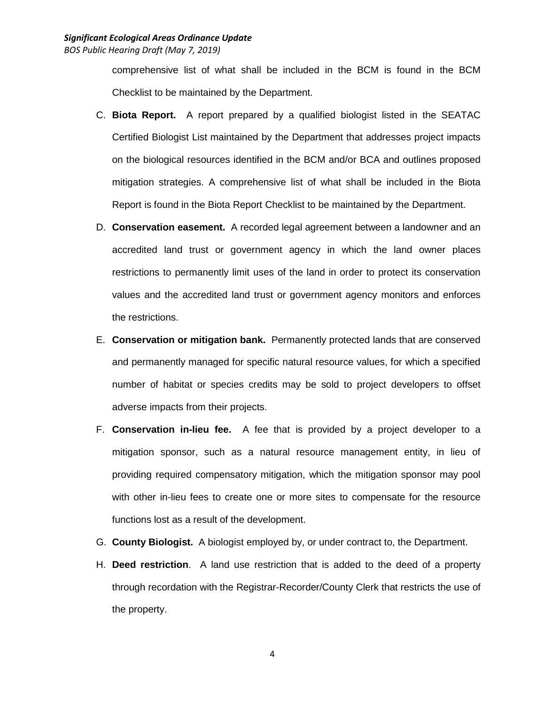comprehensive list of what shall be included in the BCM is found in the BCM Checklist to be maintained by the Department.

- C. **Biota Report.** A report prepared by a qualified biologist listed in the SEATAC Certified Biologist List maintained by the Department that addresses project impacts on the biological resources identified in the BCM and/or BCA and outlines proposed mitigation strategies. A comprehensive list of what shall be included in the Biota Report is found in the Biota Report Checklist to be maintained by the Department.
- D. **Conservation easement.** A recorded legal agreement between a landowner and an accredited land trust or government agency in which the land owner places restrictions to permanently limit uses of the land in order to protect its conservation values and the accredited land trust or government agency monitors and enforces the restrictions.
- E. **Conservation or mitigation bank.** Permanently protected lands that are conserved and permanently managed for specific natural resource values, for which a specified number of habitat or species credits may be sold to project developers to offset adverse impacts from their projects.
- F. **Conservation in-lieu fee.** A fee that is provided by a project developer to a mitigation sponsor, such as a natural resource management entity, in lieu of providing required compensatory mitigation, which the mitigation sponsor may pool with other in-lieu fees to create one or more sites to compensate for the resource functions lost as a result of the development.
- G. **County Biologist.** A biologist employed by, or under contract to, the Department.
- H. **Deed restriction**. A land use restriction that is added to the deed of a property through recordation with the Registrar-Recorder/County Clerk that restricts the use of the property.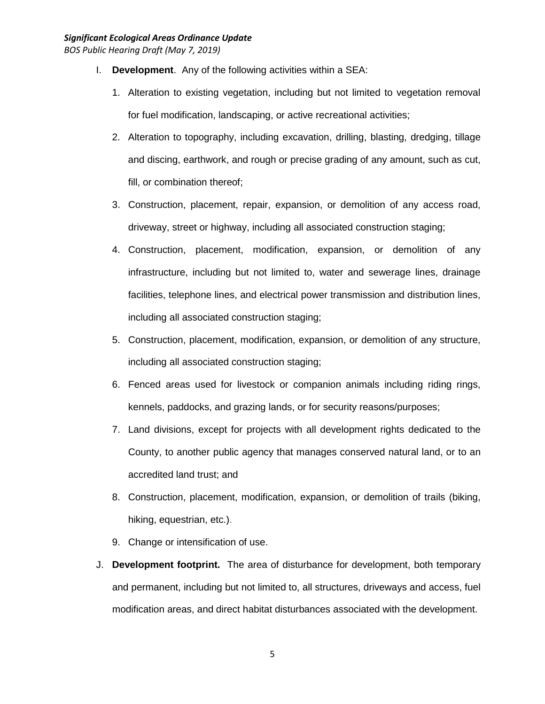- I. **Development**. Any of the following activities within a SEA:
	- 1. Alteration to existing vegetation, including but not limited to vegetation removal for fuel modification, landscaping, or active recreational activities;
	- 2. Alteration to topography, including excavation, drilling, blasting, dredging, tillage and discing, earthwork, and rough or precise grading of any amount, such as cut, fill, or combination thereof;
	- 3. Construction, placement, repair, expansion, or demolition of any access road, driveway, street or highway, including all associated construction staging;
	- 4. Construction, placement, modification, expansion, or demolition of any infrastructure, including but not limited to, water and sewerage lines, drainage facilities, telephone lines, and electrical power transmission and distribution lines, including all associated construction staging;
	- 5. Construction, placement, modification, expansion, or demolition of any structure, including all associated construction staging;
	- 6. Fenced areas used for livestock or companion animals including riding rings, kennels, paddocks, and grazing lands, or for security reasons/purposes;
	- 7. Land divisions, except for projects with all development rights dedicated to the County, to another public agency that manages conserved natural land, or to an accredited land trust; and
	- 8. Construction, placement, modification, expansion, or demolition of trails (biking, hiking, equestrian, etc.).
	- 9. Change or intensification of use.
- J. **Development footprint.** The area of disturbance for development, both temporary and permanent, including but not limited to, all structures, driveways and access, fuel modification areas, and direct habitat disturbances associated with the development.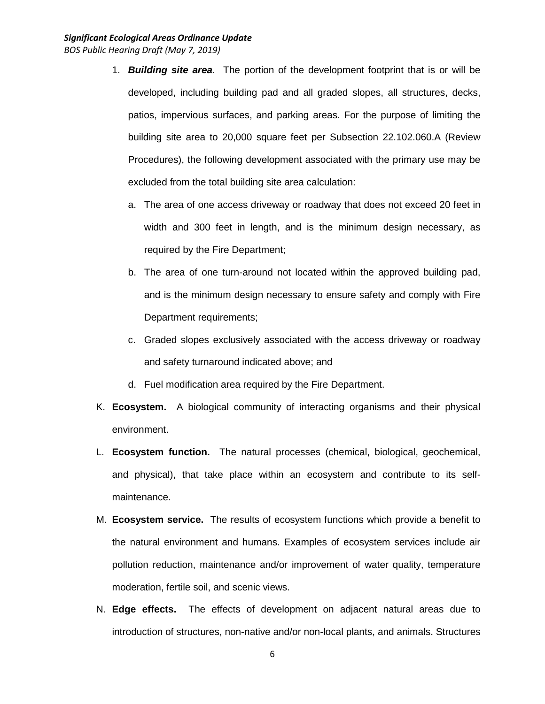- 1. *Building site area*. The portion of the development footprint that is or will be developed, including building pad and all graded slopes, all structures, decks, patios, impervious surfaces, and parking areas. For the purpose of limiting the building site area to 20,000 square feet per Subsection 22.102.060.A (Review Procedures), the following development associated with the primary use may be excluded from the total building site area calculation:
	- a. The area of one access driveway or roadway that does not exceed 20 feet in width and 300 feet in length, and is the minimum design necessary, as required by the Fire Department;
	- b. The area of one turn-around not located within the approved building pad, and is the minimum design necessary to ensure safety and comply with Fire Department requirements;
	- c. Graded slopes exclusively associated with the access driveway or roadway and safety turnaround indicated above; and
	- d. Fuel modification area required by the Fire Department.
- K. **Ecosystem.** A biological community of interacting organisms and their physical environment.
- L. **Ecosystem function.** The natural processes (chemical, biological, geochemical, and physical), that take place within an ecosystem and contribute to its selfmaintenance.
- M. **Ecosystem service.** The results of ecosystem functions which provide a benefit to the natural environment and humans. Examples of ecosystem services include air pollution reduction, maintenance and/or improvement of water quality, temperature moderation, fertile soil, and scenic views.
- N. **Edge effects.** The effects of development on adjacent natural areas due to introduction of structures, non-native and/or non-local plants, and animals. Structures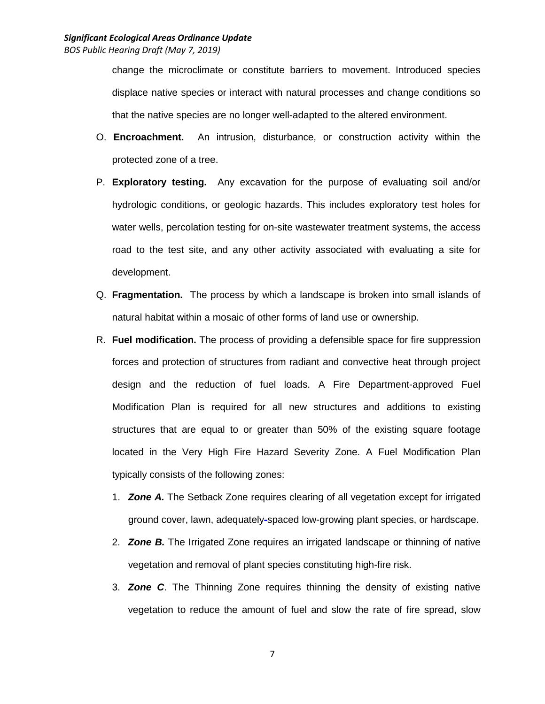change the microclimate or constitute barriers to movement. Introduced species displace native species or interact with natural processes and change conditions so that the native species are no longer well-adapted to the altered environment.

- O. **Encroachment.** An intrusion, disturbance, or construction activity within the protected zone of a tree.
- P. **Exploratory testing.** Any excavation for the purpose of evaluating soil and/or hydrologic conditions, or geologic hazards. This includes exploratory test holes for water wells, percolation testing for on-site wastewater treatment systems, the access road to the test site, and any other activity associated with evaluating a site for development.
- Q. **Fragmentation.** The process by which a landscape is broken into small islands of natural habitat within a mosaic of other forms of land use or ownership.
- R. **Fuel modification.** The process of providing a defensible space for fire suppression forces and protection of structures from radiant and convective heat through project design and the reduction of fuel loads. A Fire Department-approved Fuel Modification Plan is required for all new structures and additions to existing structures that are equal to or greater than 50% of the existing square footage located in the Very High Fire Hazard Severity Zone. A Fuel Modification Plan typically consists of the following zones:
	- 1. *Zone A.* The Setback Zone requires clearing of all vegetation except for irrigated ground cover, lawn, adequately-spaced low-growing plant species, or hardscape.
	- 2. *Zone B.* The Irrigated Zone requires an irrigated landscape or thinning of native vegetation and removal of plant species constituting high-fire risk.
	- 3. *Zone C*. The Thinning Zone requires thinning the density of existing native vegetation to reduce the amount of fuel and slow the rate of fire spread, slow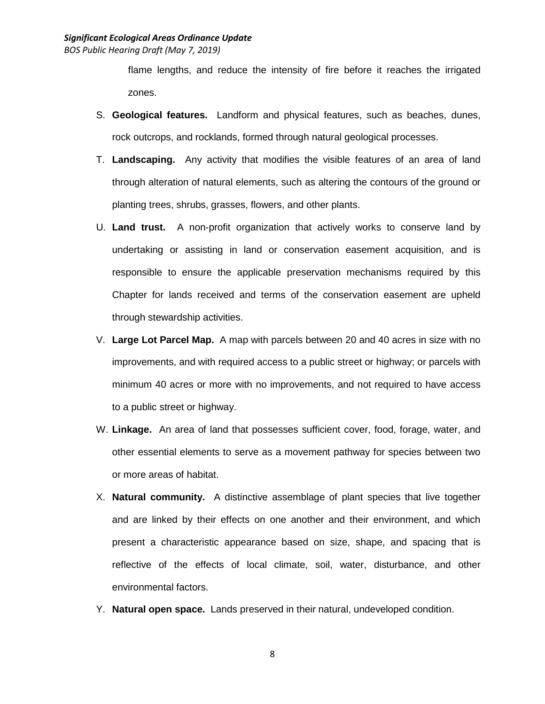flame lengths, and reduce the intensity of fire before it reaches the irrigated zones.

- S. **Geological features.** Landform and physical features, such as beaches, dunes, rock outcrops, and rocklands, formed through natural geological processes.
- T. **Landscaping.** Any activity that modifies the visible features of an area of land through alteration of natural elements, such as altering the contours of the ground or planting trees, shrubs, grasses, flowers, and other plants.
- U. **Land trust.** A non-profit organization that actively works to conserve land by undertaking or assisting in land or conservation easement acquisition, and is responsible to ensure the applicable preservation mechanisms required by this Chapter for lands received and terms of the conservation easement are upheld through stewardship activities.
- V. **Large Lot Parcel Map.** A map with parcels between 20 and 40 acres in size with no improvements, and with required access to a public street or highway; or parcels with minimum 40 acres or more with no improvements, and not required to have access to a public street or highway.
- W. **Linkage.** An area of land that possesses sufficient cover, food, forage, water, and other essential elements to serve as a movement pathway for species between two or more areas of habitat.
- X. **Natural community.** A distinctive assemblage of plant species that live together and are linked by their effects on one another and their environment, and which present a characteristic appearance based on size, shape, and spacing that is reflective of the effects of local climate, soil, water, disturbance, and other environmental factors.
- Y. **Natural open space.** Lands preserved in their natural, undeveloped condition.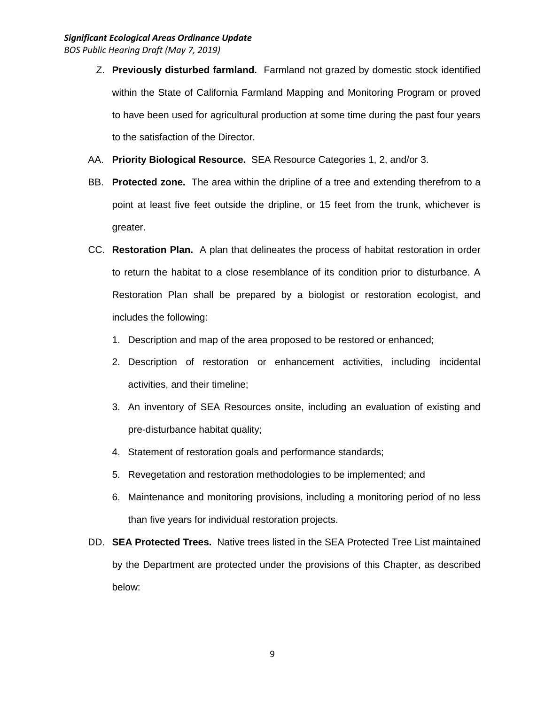### *Significant Ecological Areas Ordinance Update BOS Public Hearing Draft (May 7, 2019)*

- Z. **Previously disturbed farmland.** Farmland not grazed by domestic stock identified within the State of California Farmland Mapping and Monitoring Program or proved to have been used for agricultural production at some time during the past four years to the satisfaction of the Director.
- AA. **Priority Biological Resource.** SEA Resource Categories 1, 2, and/or 3.
- BB. **Protected zone.** The area within the dripline of a tree and extending therefrom to a point at least five feet outside the dripline, or 15 feet from the trunk, whichever is greater.
- CC. **Restoration Plan.** A plan that delineates the process of habitat restoration in order to return the habitat to a close resemblance of its condition prior to disturbance. A Restoration Plan shall be prepared by a biologist or restoration ecologist, and includes the following:
	- 1. Description and map of the area proposed to be restored or enhanced;
	- 2. Description of restoration or enhancement activities, including incidental activities, and their timeline;
	- 3. An inventory of SEA Resources onsite, including an evaluation of existing and pre-disturbance habitat quality;
	- 4. Statement of restoration goals and performance standards;
	- 5. Revegetation and restoration methodologies to be implemented; and
	- 6. Maintenance and monitoring provisions, including a monitoring period of no less than five years for individual restoration projects.
- DD. **SEA Protected Trees.** Native trees listed in the SEA Protected Tree List maintained by the Department are protected under the provisions of this Chapter, as described below: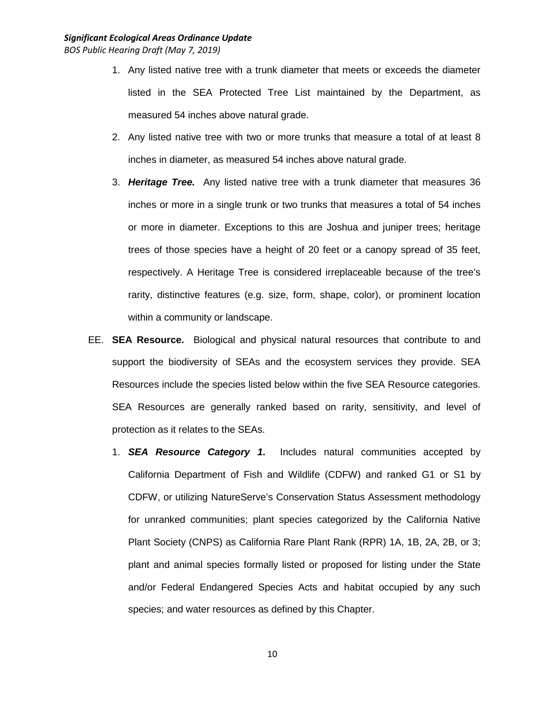- 1. Any listed native tree with a trunk diameter that meets or exceeds the diameter listed in the SEA Protected Tree List maintained by the Department, as measured 54 inches above natural grade.
- 2. Any listed native tree with two or more trunks that measure a total of at least 8 inches in diameter, as measured 54 inches above natural grade.
- 3. *Heritage Tree.* Any listed native tree with a trunk diameter that measures 36 inches or more in a single trunk or two trunks that measures a total of 54 inches or more in diameter. Exceptions to this are Joshua and juniper trees; heritage trees of those species have a height of 20 feet or a canopy spread of 35 feet, respectively. A Heritage Tree is considered irreplaceable because of the tree's rarity, distinctive features (e.g. size, form, shape, color), or prominent location within a community or landscape.
- EE. **SEA Resource.** Biological and physical natural resources that contribute to and support the biodiversity of SEAs and the ecosystem services they provide. SEA Resources include the species listed below within the five SEA Resource categories. SEA Resources are generally ranked based on rarity, sensitivity, and level of protection as it relates to the SEAs.
	- 1. *SEA Resource Category 1***.** Includes natural communities accepted by California Department of Fish and Wildlife (CDFW) and ranked G1 or S1 by CDFW, or utilizing NatureServe's Conservation Status Assessment methodology for unranked communities; plant species categorized by the California Native Plant Society (CNPS) as California Rare Plant Rank (RPR) 1A, 1B, 2A, 2B, or 3; plant and animal species formally listed or proposed for listing under the State and/or Federal Endangered Species Acts and habitat occupied by any such species; and water resources as defined by this Chapter.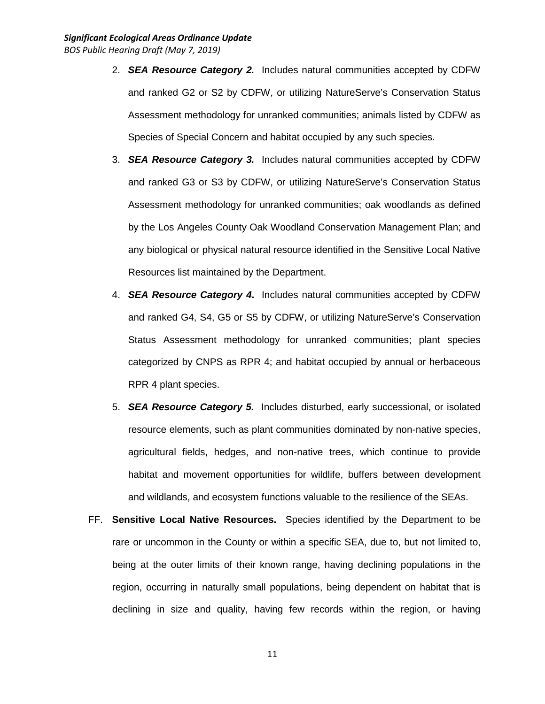- 2. *SEA Resource Category 2.* Includes natural communities accepted by CDFW and ranked G2 or S2 by CDFW, or utilizing NatureServe's Conservation Status Assessment methodology for unranked communities; animals listed by CDFW as Species of Special Concern and habitat occupied by any such species.
- 3. *SEA Resource Category 3.* Includes natural communities accepted by CDFW and ranked G3 or S3 by CDFW, or utilizing NatureServe's Conservation Status Assessment methodology for unranked communities; oak woodlands as defined by the Los Angeles County Oak Woodland Conservation Management Plan; and any biological or physical natural resource identified in the Sensitive Local Native Resources list maintained by the Department.
- 4. *SEA Resource Category 4***.** Includes natural communities accepted by CDFW and ranked G4, S4, G5 or S5 by CDFW, or utilizing NatureServe's Conservation Status Assessment methodology for unranked communities; plant species categorized by CNPS as RPR 4; and habitat occupied by annual or herbaceous RPR 4 plant species.
- 5. *SEA Resource Category 5.* Includes disturbed, early successional, or isolated resource elements, such as plant communities dominated by non-native species, agricultural fields, hedges, and non-native trees, which continue to provide habitat and movement opportunities for wildlife, buffers between development and wildlands, and ecosystem functions valuable to the resilience of the SEAs.
- FF. **Sensitive Local Native Resources.** Species identified by the Department to be rare or uncommon in the County or within a specific SEA, due to, but not limited to, being at the outer limits of their known range, having declining populations in the region, occurring in naturally small populations, being dependent on habitat that is declining in size and quality, having few records within the region, or having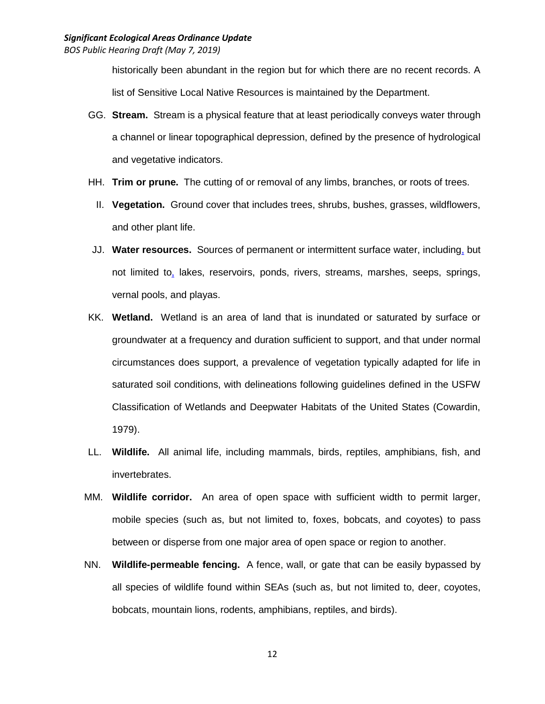historically been abundant in the region but for which there are no recent records. A list of Sensitive Local Native Resources is maintained by the Department.

- GG. **Stream.** Stream is a physical feature that at least periodically conveys water through a channel or linear topographical depression, defined by the presence of hydrological and vegetative indicators.
- HH. **Trim or prune.** The cutting of or removal of any limbs, branches, or roots of trees.
	- II. **Vegetation.** Ground cover that includes trees, shrubs, bushes, grasses, wildflowers, and other plant life.
- JJ. **Water resources.** Sources of permanent or intermittent surface water, including, but not limited to, lakes, reservoirs, ponds, rivers, streams, marshes, seeps, springs, vernal pools, and playas.
- KK. **Wetland.** Wetland is an area of land that is inundated or saturated by surface or groundwater at a frequency and duration sufficient to support, and that under normal circumstances does support, a prevalence of vegetation typically adapted for life in saturated soil conditions, with delineations following guidelines defined in the USFW Classification of Wetlands and Deepwater Habitats of the United States (Cowardin, 1979).
- LL. **Wildlife.** All animal life, including mammals, birds, reptiles, amphibians, fish, and invertebrates.
- MM. **Wildlife corridor.** An area of open space with sufficient width to permit larger, mobile species (such as, but not limited to, foxes, bobcats, and coyotes) to pass between or disperse from one major area of open space or region to another.
- NN. **Wildlife-permeable fencing.** A fence, wall, or gate that can be easily bypassed by all species of wildlife found within SEAs (such as, but not limited to, deer, coyotes, bobcats, mountain lions, rodents, amphibians, reptiles, and birds).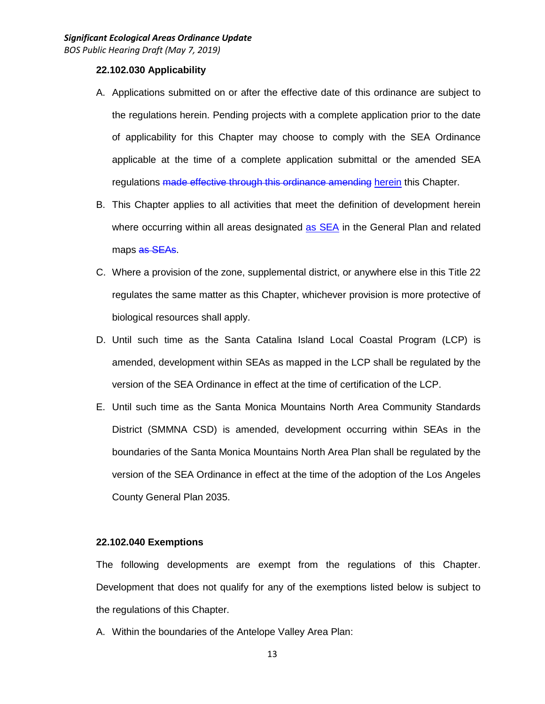### **22.102.030 Applicability**

- A. Applications submitted on or after the effective date of this ordinance are subject to the regulations herein. Pending projects with a complete application prior to the date of applicability for this Chapter may choose to comply with the SEA Ordinance applicable at the time of a complete application submittal or the amended SEA regulations made effective through this ordinance amending herein this Chapter.
- B. This Chapter applies to all activities that meet the definition of development herein where occurring within all areas designated as SEA in the General Plan and related maps as SEAs.
- C. Where a provision of the zone, supplemental district, or anywhere else in this Title 22 regulates the same matter as this Chapter, whichever provision is more protective of biological resources shall apply.
- D. Until such time as the Santa Catalina Island Local Coastal Program (LCP) is amended, development within SEAs as mapped in the LCP shall be regulated by the version of the SEA Ordinance in effect at the time of certification of the LCP.
- E. Until such time as the Santa Monica Mountains North Area Community Standards District (SMMNA CSD) is amended, development occurring within SEAs in the boundaries of the Santa Monica Mountains North Area Plan shall be regulated by the version of the SEA Ordinance in effect at the time of the adoption of the Los Angeles County General Plan 2035.

### **22.102.040 Exemptions**

The following developments are exempt from the regulations of this Chapter. Development that does not qualify for any of the exemptions listed below is subject to the regulations of this Chapter.

A. Within the boundaries of the Antelope Valley Area Plan: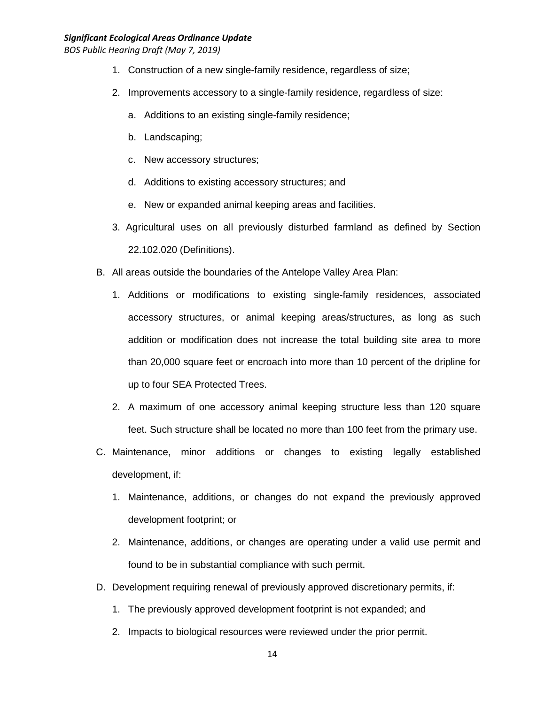#### *Significant Ecological Areas Ordinance Update*

- 1. Construction of a new single-family residence, regardless of size;
- 2. Improvements accessory to a single-family residence, regardless of size:
	- a. Additions to an existing single-family residence;
	- b. Landscaping;
	- c. New accessory structures;
	- d. Additions to existing accessory structures; and
	- e. New or expanded animal keeping areas and facilities.
- 3. Agricultural uses on all previously disturbed farmland as defined by Section 22.102.020 (Definitions).
- B. All areas outside the boundaries of the Antelope Valley Area Plan:
	- 1. Additions or modifications to existing single-family residences, associated accessory structures, or animal keeping areas/structures, as long as such addition or modification does not increase the total building site area to more than 20,000 square feet or encroach into more than 10 percent of the dripline for up to four SEA Protected Trees.
	- 2. A maximum of one accessory animal keeping structure less than 120 square feet. Such structure shall be located no more than 100 feet from the primary use.
- C. Maintenance, minor additions or changes to existing legally established development, if:
	- 1. Maintenance, additions, or changes do not expand the previously approved development footprint; or
	- 2. Maintenance, additions, or changes are operating under a valid use permit and found to be in substantial compliance with such permit.
- D. Development requiring renewal of previously approved discretionary permits, if:
	- 1. The previously approved development footprint is not expanded; and
	- 2. Impacts to biological resources were reviewed under the prior permit.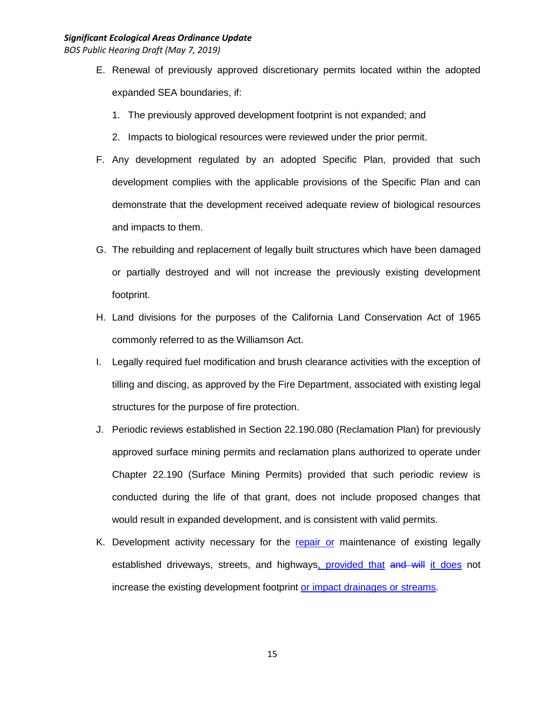- E. Renewal of previously approved discretionary permits located within the adopted expanded SEA boundaries, if:
	- 1. The previously approved development footprint is not expanded; and
	- 2. Impacts to biological resources were reviewed under the prior permit.
- F. Any development regulated by an adopted Specific Plan, provided that such development complies with the applicable provisions of the Specific Plan and can demonstrate that the development received adequate review of biological resources and impacts to them.
- G. The rebuilding and replacement of legally built structures which have been damaged or partially destroyed and will not increase the previously existing development footprint.
- H. Land divisions for the purposes of the California Land Conservation Act of 1965 commonly referred to as the Williamson Act.
- I. Legally required fuel modification and brush clearance activities with the exception of tilling and discing, as approved by the Fire Department, associated with existing legal structures for the purpose of fire protection.
- J. Periodic reviews established in Section 22.190.080 (Reclamation Plan) for previously approved surface mining permits and reclamation plans authorized to operate under Chapter 22.190 (Surface Mining Permits) provided that such periodic review is conducted during the life of that grant, does not include proposed changes that would result in expanded development, and is consistent with valid permits.
- K. Development activity necessary for the repair or maintenance of existing legally established driveways, streets, and highways, provided that and will it does not increase the existing development footprint or impact drainages or streams.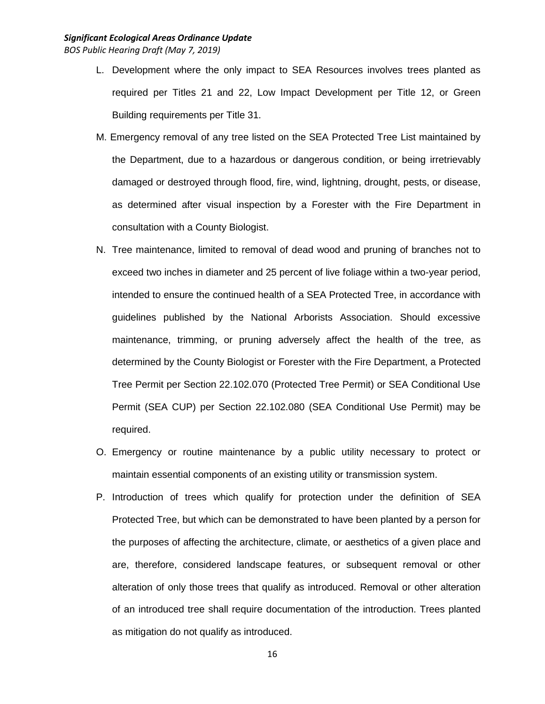# *Significant Ecological Areas Ordinance Update*

- L. Development where the only impact to SEA Resources involves trees planted as required per Titles 21 and 22, Low Impact Development per Title 12, or Green Building requirements per Title 31.
- M. Emergency removal of any tree listed on the SEA Protected Tree List maintained by the Department, due to a hazardous or dangerous condition, or being irretrievably damaged or destroyed through flood, fire, wind, lightning, drought, pests, or disease, as determined after visual inspection by a Forester with the Fire Department in consultation with a County Biologist.
- N. Tree maintenance, limited to removal of dead wood and pruning of branches not to exceed two inches in diameter and 25 percent of live foliage within a two-year period, intended to ensure the continued health of a SEA Protected Tree, in accordance with guidelines published by the National Arborists Association. Should excessive maintenance, trimming, or pruning adversely affect the health of the tree, as determined by the County Biologist or Forester with the Fire Department, a Protected Tree Permit per Section 22.102.070 (Protected Tree Permit) or SEA Conditional Use Permit (SEA CUP) per Section 22.102.080 (SEA Conditional Use Permit) may be required.
- O. Emergency or routine maintenance by a public utility necessary to protect or maintain essential components of an existing utility or transmission system.
- P. Introduction of trees which qualify for protection under the definition of SEA Protected Tree, but which can be demonstrated to have been planted by a person for the purposes of affecting the architecture, climate, or aesthetics of a given place and are, therefore, considered landscape features, or subsequent removal or other alteration of only those trees that qualify as introduced. Removal or other alteration of an introduced tree shall require documentation of the introduction. Trees planted as mitigation do not qualify as introduced.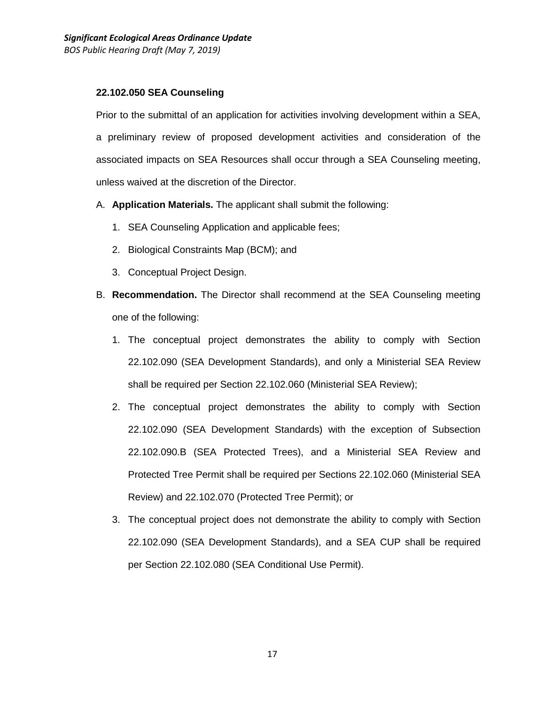## **22.102.050 SEA Counseling**

Prior to the submittal of an application for activities involving development within a SEA, a preliminary review of proposed development activities and consideration of the associated impacts on SEA Resources shall occur through a SEA Counseling meeting, unless waived at the discretion of the Director.

- A. **Application Materials.** The applicant shall submit the following:
	- 1. SEA Counseling Application and applicable fees;
	- 2. Biological Constraints Map (BCM); and
	- 3. Conceptual Project Design.
- B. **Recommendation.** The Director shall recommend at the SEA Counseling meeting one of the following:
	- 1. The conceptual project demonstrates the ability to comply with Section 22.102.090 (SEA Development Standards), and only a Ministerial SEA Review shall be required per Section 22.102.060 (Ministerial SEA Review);
	- 2. The conceptual project demonstrates the ability to comply with Section 22.102.090 (SEA Development Standards) with the exception of Subsection 22.102.090.B (SEA Protected Trees), and a Ministerial SEA Review and Protected Tree Permit shall be required per Sections 22.102.060 (Ministerial SEA Review) and 22.102.070 (Protected Tree Permit); or
	- 3. The conceptual project does not demonstrate the ability to comply with Section 22.102.090 (SEA Development Standards), and a SEA CUP shall be required per Section 22.102.080 (SEA Conditional Use Permit).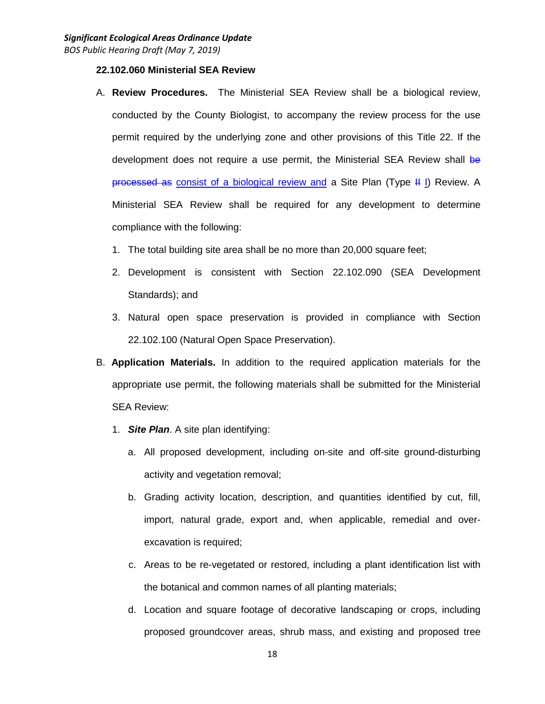#### **22.102.060 Ministerial SEA Review**

- A. **Review Procedures.** The Ministerial SEA Review shall be a biological review, conducted by the County Biologist, to accompany the review process for the use permit required by the underlying zone and other provisions of this Title 22. If the development does not require a use permit, the Ministerial SEA Review shall be processed as consist of a biological review and a Site Plan (Type H I) Review. A Ministerial SEA Review shall be required for any development to determine compliance with the following:
	- 1. The total building site area shall be no more than 20,000 square feet;
	- 2. Development is consistent with Section 22.102.090 (SEA Development Standards); and
	- 3. Natural open space preservation is provided in compliance with Section 22.102.100 (Natural Open Space Preservation).
- B. **Application Materials.** In addition to the required application materials for the appropriate use permit, the following materials shall be submitted for the Ministerial SEA Review:
	- 1. *Site Plan*. A site plan identifying:
		- a. All proposed development, including on-site and off-site ground-disturbing activity and vegetation removal;
		- b. Grading activity location, description, and quantities identified by cut, fill, import, natural grade, export and, when applicable, remedial and overexcavation is required;
		- c. Areas to be re-vegetated or restored, including a plant identification list with the botanical and common names of all planting materials;
		- d. Location and square footage of decorative landscaping or crops, including proposed groundcover areas, shrub mass, and existing and proposed tree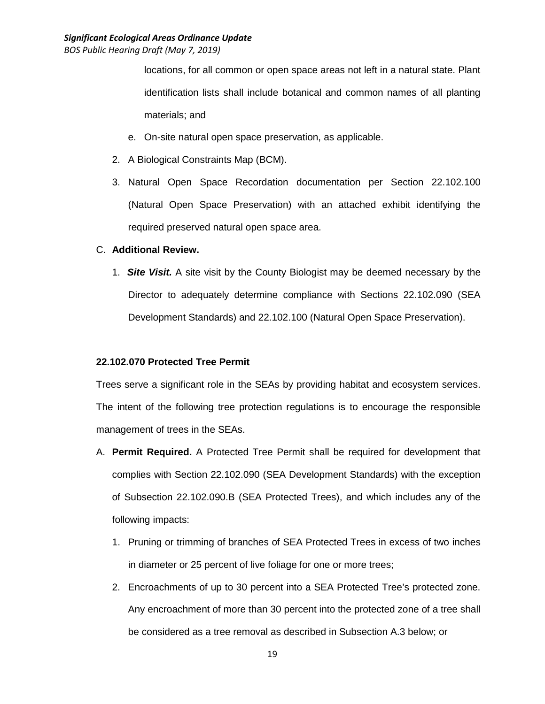# *Significant Ecological Areas Ordinance Update*

*BOS Public Hearing Draft (May 7, 2019)*

locations, for all common or open space areas not left in a natural state. Plant identification lists shall include botanical and common names of all planting materials; and

- e. On-site natural open space preservation, as applicable.
- 2. A Biological Constraints Map (BCM).
- 3. Natural Open Space Recordation documentation per Section 22.102.100 (Natural Open Space Preservation) with an attached exhibit identifying the required preserved natural open space area.

### C. **Additional Review.**

1. *Site Visit.* A site visit by the County Biologist may be deemed necessary by the Director to adequately determine compliance with Sections 22.102.090 (SEA Development Standards) and 22.102.100 (Natural Open Space Preservation).

## **22.102.070 Protected Tree Permit**

Trees serve a significant role in the SEAs by providing habitat and ecosystem services. The intent of the following tree protection regulations is to encourage the responsible management of trees in the SEAs.

- A. **Permit Required.** A Protected Tree Permit shall be required for development that complies with Section 22.102.090 (SEA Development Standards) with the exception of Subsection 22.102.090.B (SEA Protected Trees), and which includes any of the following impacts:
	- 1. Pruning or trimming of branches of SEA Protected Trees in excess of two inches in diameter or 25 percent of live foliage for one or more trees;
	- 2. Encroachments of up to 30 percent into a SEA Protected Tree's protected zone. Any encroachment of more than 30 percent into the protected zone of a tree shall be considered as a tree removal as described in Subsection A.3 below; or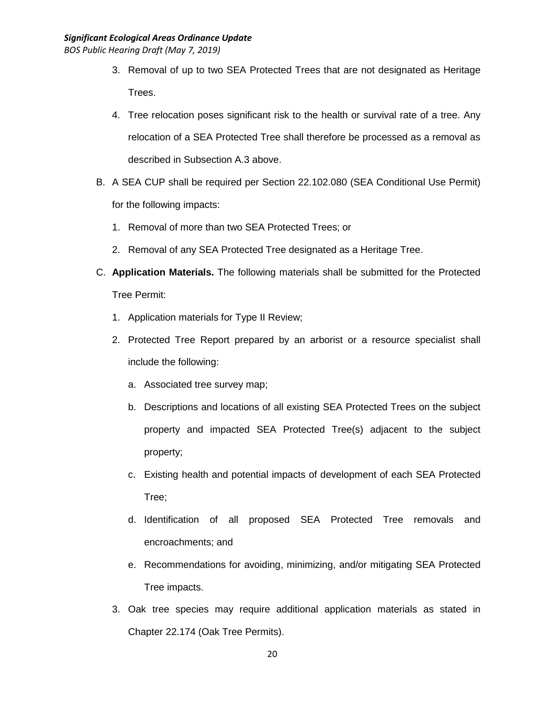- 3. Removal of up to two SEA Protected Trees that are not designated as Heritage Trees.
- 4. Tree relocation poses significant risk to the health or survival rate of a tree. Any relocation of a SEA Protected Tree shall therefore be processed as a removal as described in Subsection A.3 above.
- B. A SEA CUP shall be required per Section 22.102.080 (SEA Conditional Use Permit) for the following impacts:
	- 1. Removal of more than two SEA Protected Trees; or
	- 2. Removal of any SEA Protected Tree designated as a Heritage Tree.
- C. **Application Materials.** The following materials shall be submitted for the Protected Tree Permit:
	- 1. Application materials for Type II Review;
	- 2. Protected Tree Report prepared by an arborist or a resource specialist shall include the following:
		- a. Associated tree survey map;
		- b. Descriptions and locations of all existing SEA Protected Trees on the subject property and impacted SEA Protected Tree(s) adjacent to the subject property;
		- c. Existing health and potential impacts of development of each SEA Protected Tree;
		- d. Identification of all proposed SEA Protected Tree removals and encroachments; and
		- e. Recommendations for avoiding, minimizing, and/or mitigating SEA Protected Tree impacts.
	- 3. Oak tree species may require additional application materials as stated in Chapter 22.174 (Oak Tree Permits).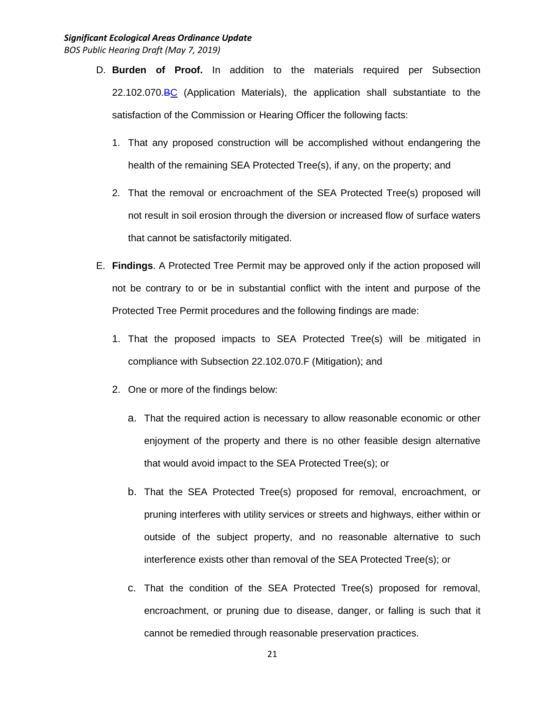- D. **Burden of Proof.** In addition to the materials required per Subsection 22.102.070.BC (Application Materials), the application shall substantiate to the satisfaction of the Commission or Hearing Officer the following facts:
	- 1. That any proposed construction will be accomplished without endangering the health of the remaining SEA Protected Tree(s), if any, on the property; and
	- 2. That the removal or encroachment of the SEA Protected Tree(s) proposed will not result in soil erosion through the diversion or increased flow of surface waters that cannot be satisfactorily mitigated.
- E. **Findings**. A Protected Tree Permit may be approved only if the action proposed will not be contrary to or be in substantial conflict with the intent and purpose of the Protected Tree Permit procedures and the following findings are made:
	- 1. That the proposed impacts to SEA Protected Tree(s) will be mitigated in compliance with Subsection 22.102.070.F (Mitigation); and
	- 2. One or more of the findings below:
		- a. That the required action is necessary to allow reasonable economic or other enjoyment of the property and there is no other feasible design alternative that would avoid impact to the SEA Protected Tree(s); or
		- b. That the SEA Protected Tree(s) proposed for removal, encroachment, or pruning interferes with utility services or streets and highways, either within or outside of the subject property, and no reasonable alternative to such interference exists other than removal of the SEA Protected Tree(s); or
		- c. That the condition of the SEA Protected Tree(s) proposed for removal, encroachment, or pruning due to disease, danger, or falling is such that it cannot be remedied through reasonable preservation practices.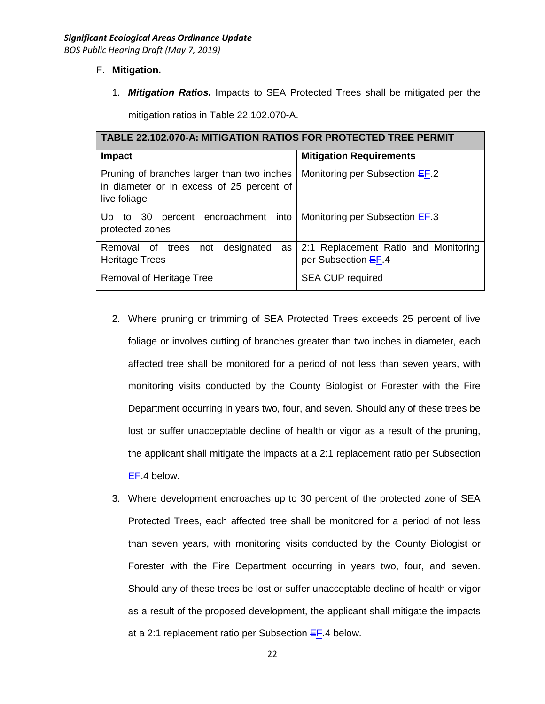## F. **Mitigation.**

1. *Mitigation Ratios.* Impacts to SEA Protected Trees shall be mitigated per the

mitigation ratios in Table 22.102.070-A.

| <b>TABLE 22.102.070-A: MITIGATION RATIOS FOR PROTECTED TREE PERMIT</b>                                  |                                                             |  |  |  |
|---------------------------------------------------------------------------------------------------------|-------------------------------------------------------------|--|--|--|
| <b>Impact</b>                                                                                           | <b>Mitigation Requirements</b>                              |  |  |  |
| Pruning of branches larger than two inches<br>in diameter or in excess of 25 percent of<br>live foliage | Monitoring per Subsection EF.2                              |  |  |  |
| percent encroachment into<br>to 30<br>Up<br>protected zones                                             | Monitoring per Subsection $E$ F.3                           |  |  |  |
| designated<br>Removal of trees not<br>as<br><b>Heritage Trees</b>                                       | 2:1 Replacement Ratio and Monitoring<br>per Subsection EF.4 |  |  |  |
| Removal of Heritage Tree                                                                                | <b>SEA CUP required</b>                                     |  |  |  |

- 2. Where pruning or trimming of SEA Protected Trees exceeds 25 percent of live foliage or involves cutting of branches greater than two inches in diameter, each affected tree shall be monitored for a period of not less than seven years, with monitoring visits conducted by the County Biologist or Forester with the Fire Department occurring in years two, four, and seven. Should any of these trees be lost or suffer unacceptable decline of health or vigor as a result of the pruning, the applicant shall mitigate the impacts at a 2:1 replacement ratio per Subsection EF.4 below.
- 3. Where development encroaches up to 30 percent of the protected zone of SEA Protected Trees, each affected tree shall be monitored for a period of not less than seven years, with monitoring visits conducted by the County Biologist or Forester with the Fire Department occurring in years two, four, and seven. Should any of these trees be lost or suffer unacceptable decline of health or vigor as a result of the proposed development, the applicant shall mitigate the impacts at a 2:1 replacement ratio per Subsection  $E_{\text{F}}$ .4 below.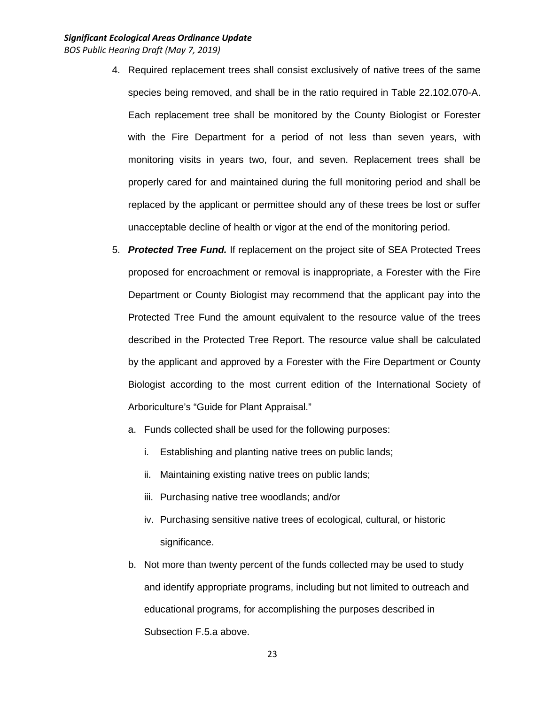- 4. Required replacement trees shall consist exclusively of native trees of the same species being removed, and shall be in the ratio required in Table 22.102.070-A. Each replacement tree shall be monitored by the County Biologist or Forester with the Fire Department for a period of not less than seven years, with monitoring visits in years two, four, and seven. Replacement trees shall be properly cared for and maintained during the full monitoring period and shall be replaced by the applicant or permittee should any of these trees be lost or suffer unacceptable decline of health or vigor at the end of the monitoring period.
- 5. *Protected Tree Fund.* If replacement on the project site of SEA Protected Trees proposed for encroachment or removal is inappropriate, a Forester with the Fire Department or County Biologist may recommend that the applicant pay into the Protected Tree Fund the amount equivalent to the resource value of the trees described in the Protected Tree Report. The resource value shall be calculated by the applicant and approved by a Forester with the Fire Department or County Biologist according to the most current edition of the International Society of Arboriculture's "Guide for Plant Appraisal."
	- a. Funds collected shall be used for the following purposes:
		- i. Establishing and planting native trees on public lands;
		- ii. Maintaining existing native trees on public lands;
		- iii. Purchasing native tree woodlands; and/or
		- iv. Purchasing sensitive native trees of ecological, cultural, or historic significance.
	- b. Not more than twenty percent of the funds collected may be used to study and identify appropriate programs, including but not limited to outreach and educational programs, for accomplishing the purposes described in Subsection F.5.a above.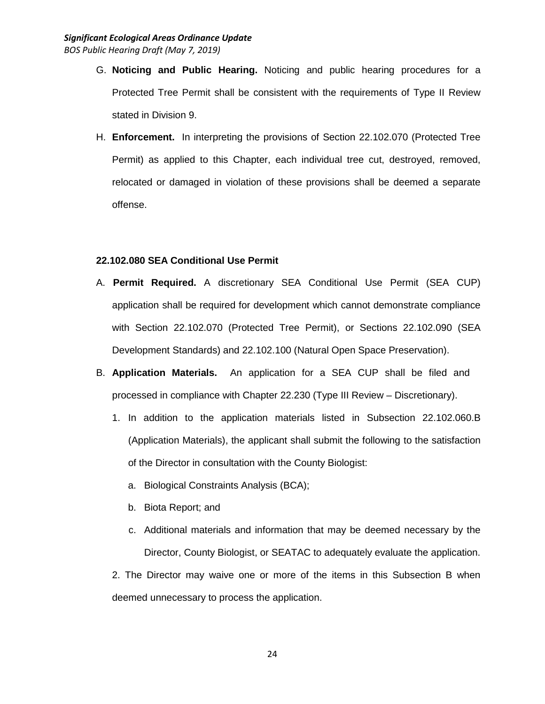- G. **Noticing and Public Hearing.** Noticing and public hearing procedures for a Protected Tree Permit shall be consistent with the requirements of Type II Review stated in Division 9.
- H. **Enforcement.** In interpreting the provisions of Section 22.102.070 (Protected Tree Permit) as applied to this Chapter, each individual tree cut, destroyed, removed, relocated or damaged in violation of these provisions shall be deemed a separate offense.

#### **22.102.080 SEA Conditional Use Permit**

- A. **Permit Required.** A discretionary SEA Conditional Use Permit (SEA CUP) application shall be required for development which cannot demonstrate compliance with Section 22.102.070 (Protected Tree Permit), or Sections 22.102.090 (SEA Development Standards) and 22.102.100 (Natural Open Space Preservation).
- B. **Application Materials.** An application for a SEA CUP shall be filed and processed in compliance with Chapter 22.230 (Type III Review – Discretionary).
	- 1. In addition to the application materials listed in Subsection 22.102.060.B (Application Materials), the applicant shall submit the following to the satisfaction of the Director in consultation with the County Biologist:
		- a. Biological Constraints Analysis (BCA);
		- b. Biota Report; and
		- c. Additional materials and information that may be deemed necessary by the Director, County Biologist, or SEATAC to adequately evaluate the application.

2. The Director may waive one or more of the items in this Subsection B when deemed unnecessary to process the application.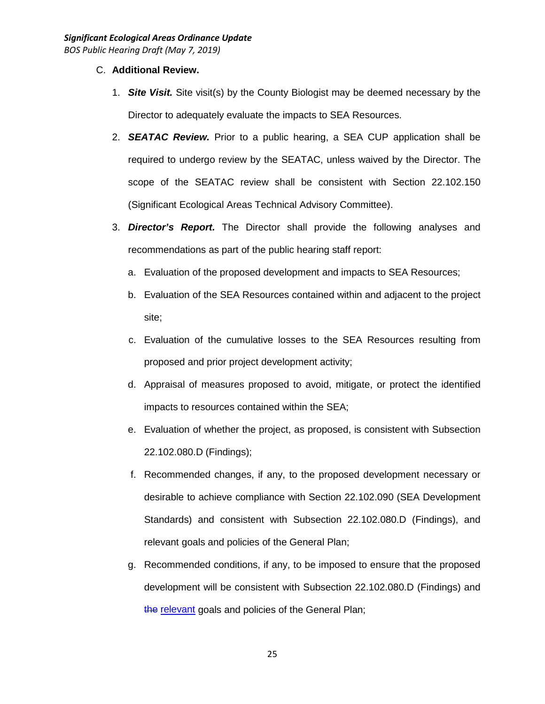- C. **Additional Review.**
	- 1. *Site Visit.* Site visit(s) by the County Biologist may be deemed necessary by the Director to adequately evaluate the impacts to SEA Resources.
	- 2. *SEATAC Review.* Prior to a public hearing, a SEA CUP application shall be required to undergo review by the SEATAC, unless waived by the Director. The scope of the SEATAC review shall be consistent with Section 22.102.150 (Significant Ecological Areas Technical Advisory Committee).
	- 3. *Director's Report.* The Director shall provide the following analyses and recommendations as part of the public hearing staff report:
		- a. Evaluation of the proposed development and impacts to SEA Resources;
		- b. Evaluation of the SEA Resources contained within and adjacent to the project site;
		- c. Evaluation of the cumulative losses to the SEA Resources resulting from proposed and prior project development activity;
		- d. Appraisal of measures proposed to avoid, mitigate, or protect the identified impacts to resources contained within the SEA;
		- e. Evaluation of whether the project, as proposed, is consistent with Subsection 22.102.080.D (Findings);
		- f. Recommended changes, if any, to the proposed development necessary or desirable to achieve compliance with Section 22.102.090 (SEA Development Standards) and consistent with Subsection 22.102.080.D (Findings), and relevant goals and policies of the General Plan;
		- g. Recommended conditions, if any, to be imposed to ensure that the proposed development will be consistent with Subsection 22.102.080.D (Findings) and the relevant goals and policies of the General Plan;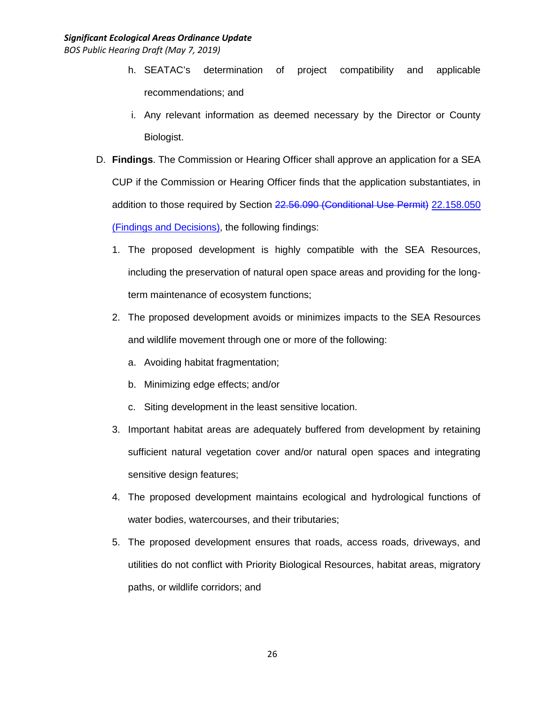- h. SEATAC's determination of project compatibility and applicable recommendations; and
- i. Any relevant information as deemed necessary by the Director or County Biologist.
- D. **Findings**. The Commission or Hearing Officer shall approve an application for a SEA CUP if the Commission or Hearing Officer finds that the application substantiates, in addition to those required by Section 22.56.090 (Conditional Use Permit) 22.158.050 (Findings and Decisions), the following findings:
	- 1. The proposed development is highly compatible with the SEA Resources, including the preservation of natural open space areas and providing for the longterm maintenance of ecosystem functions;
	- 2. The proposed development avoids or minimizes impacts to the SEA Resources and wildlife movement through one or more of the following:
		- a. Avoiding habitat fragmentation;
		- b. Minimizing edge effects; and/or
		- c. Siting development in the least sensitive location.
	- 3. Important habitat areas are adequately buffered from development by retaining sufficient natural vegetation cover and/or natural open spaces and integrating sensitive design features;
	- 4. The proposed development maintains ecological and hydrological functions of water bodies, watercourses, and their tributaries;
	- 5. The proposed development ensures that roads, access roads, driveways, and utilities do not conflict with Priority Biological Resources, habitat areas, migratory paths, or wildlife corridors; and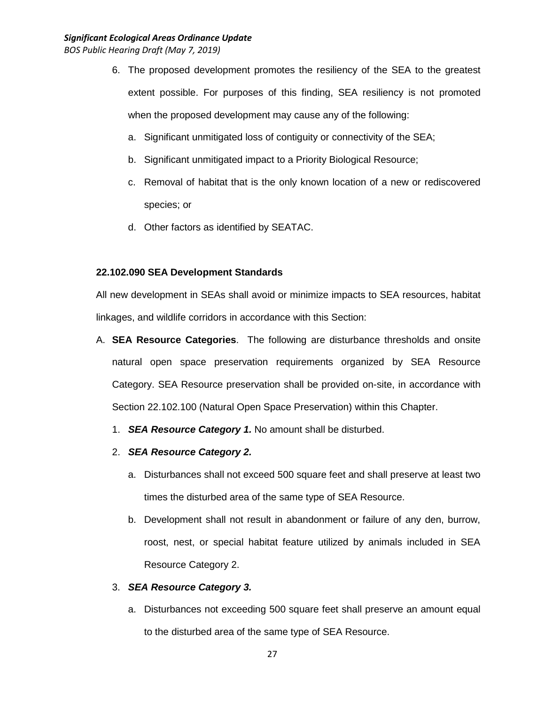- 6. The proposed development promotes the resiliency of the SEA to the greatest extent possible. For purposes of this finding, SEA resiliency is not promoted when the proposed development may cause any of the following:
	- a. Significant unmitigated loss of contiguity or connectivity of the SEA;
	- b. Significant unmitigated impact to a Priority Biological Resource;
	- c. Removal of habitat that is the only known location of a new or rediscovered species; or
	- d. Other factors as identified by SEATAC.

## **22.102.090 SEA Development Standards**

All new development in SEAs shall avoid or minimize impacts to SEA resources, habitat linkages, and wildlife corridors in accordance with this Section:

- A. **SEA Resource Categories**. The following are disturbance thresholds and onsite natural open space preservation requirements organized by SEA Resource Category. SEA Resource preservation shall be provided on-site, in accordance with Section 22.102.100 (Natural Open Space Preservation) within this Chapter.
	- 1. *SEA Resource Category 1.* No amount shall be disturbed.
	- 2. *SEA Resource Category 2.*
		- a. Disturbances shall not exceed 500 square feet and shall preserve at least two times the disturbed area of the same type of SEA Resource.
		- b. Development shall not result in abandonment or failure of any den, burrow, roost, nest, or special habitat feature utilized by animals included in SEA Resource Category 2.

## 3. *SEA Resource Category 3.*

a. Disturbances not exceeding 500 square feet shall preserve an amount equal to the disturbed area of the same type of SEA Resource.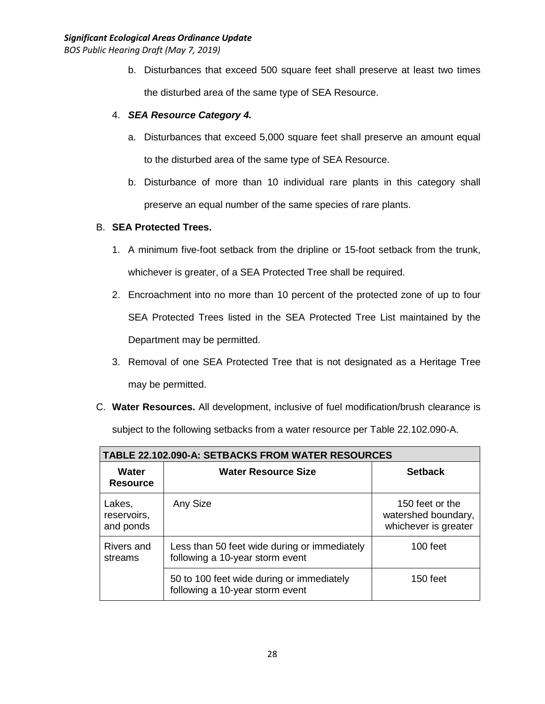b. Disturbances that exceed 500 square feet shall preserve at least two times the disturbed area of the same type of SEA Resource.

## 4. *SEA Resource Category 4.*

- a. Disturbances that exceed 5,000 square feet shall preserve an amount equal to the disturbed area of the same type of SEA Resource.
- b. Disturbance of more than 10 individual rare plants in this category shall preserve an equal number of the same species of rare plants.

## B. **SEA Protected Trees.**

- 1. A minimum five-foot setback from the dripline or 15-foot setback from the trunk, whichever is greater, of a SEA Protected Tree shall be required.
- 2. Encroachment into no more than 10 percent of the protected zone of up to four SEA Protected Trees listed in the SEA Protected Tree List maintained by the Department may be permitted.
- 3. Removal of one SEA Protected Tree that is not designated as a Heritage Tree may be permitted.
- C. **Water Resources.** All development, inclusive of fuel modification/brush clearance is subject to the following setbacks from a water resource per Table 22.102.090-A.

| <b>TABLE 22.102.090-A: SETBACKS FROM WATER RESOURCES</b> |                                                                                 |                                                                |  |  |
|----------------------------------------------------------|---------------------------------------------------------------------------------|----------------------------------------------------------------|--|--|
| Water<br><b>Resource</b>                                 | <b>Water Resource Size</b>                                                      | <b>Setback</b>                                                 |  |  |
| Lakes,<br>reservoirs,<br>and ponds                       | Any Size                                                                        | 150 feet or the<br>watershed boundary,<br>whichever is greater |  |  |
| Rivers and<br>streams                                    | Less than 50 feet wide during or immediately<br>following a 10-year storm event | 100 feet                                                       |  |  |
|                                                          | 50 to 100 feet wide during or immediately<br>following a 10-year storm event    | $150$ feet                                                     |  |  |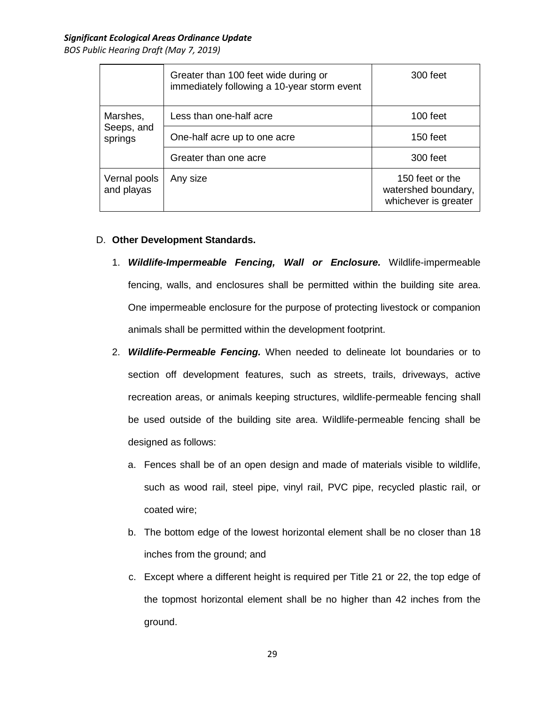|                                   | Greater than 100 feet wide during or<br>immediately following a 10-year storm event | 300 feet                                                       |
|-----------------------------------|-------------------------------------------------------------------------------------|----------------------------------------------------------------|
| Marshes,<br>Seeps, and<br>springs | Less than one-half acre                                                             | 100 feet                                                       |
|                                   | One-half acre up to one acre                                                        | 150 feet                                                       |
|                                   | Greater than one acre                                                               | 300 feet                                                       |
| Vernal pools<br>and playas        | Any size                                                                            | 150 feet or the<br>watershed boundary,<br>whichever is greater |

## D. **Other Development Standards.**

- 1. *Wildlife-Impermeable Fencing, Wall or Enclosure.* Wildlife-impermeable fencing, walls, and enclosures shall be permitted within the building site area. One impermeable enclosure for the purpose of protecting livestock or companion animals shall be permitted within the development footprint.
- 2. *Wildlife-Permeable Fencing.* When needed to delineate lot boundaries or to section off development features, such as streets, trails, driveways, active recreation areas, or animals keeping structures, wildlife-permeable fencing shall be used outside of the building site area. Wildlife-permeable fencing shall be designed as follows:
	- a. Fences shall be of an open design and made of materials visible to wildlife, such as wood rail, steel pipe, vinyl rail, PVC pipe, recycled plastic rail, or coated wire;
	- b. The bottom edge of the lowest horizontal element shall be no closer than 18 inches from the ground; and
	- c. Except where a different height is required per Title 21 or 22, the top edge of the topmost horizontal element shall be no higher than 42 inches from the ground.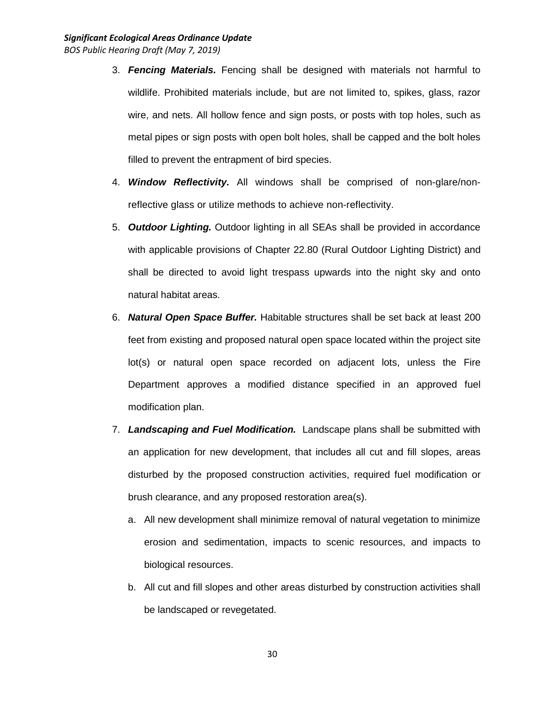- 3. *Fencing Materials.* Fencing shall be designed with materials not harmful to wildlife. Prohibited materials include, but are not limited to, spikes, glass, razor wire, and nets. All hollow fence and sign posts, or posts with top holes, such as metal pipes or sign posts with open bolt holes, shall be capped and the bolt holes filled to prevent the entrapment of bird species.
- 4. *Window Reflectivity.* All windows shall be comprised of non-glare/nonreflective glass or utilize methods to achieve non-reflectivity.
- 5. *Outdoor Lighting.* Outdoor lighting in all SEAs shall be provided in accordance with applicable provisions of Chapter 22.80 (Rural Outdoor Lighting District) and shall be directed to avoid light trespass upwards into the night sky and onto natural habitat areas.
- 6. *Natural Open Space Buffer.* Habitable structures shall be set back at least 200 feet from existing and proposed natural open space located within the project site lot(s) or natural open space recorded on adjacent lots, unless the Fire Department approves a modified distance specified in an approved fuel modification plan.
- 7. *Landscaping and Fuel Modification.* Landscape plans shall be submitted with an application for new development, that includes all cut and fill slopes, areas disturbed by the proposed construction activities, required fuel modification or brush clearance, and any proposed restoration area(s).
	- a. All new development shall minimize removal of natural vegetation to minimize erosion and sedimentation, impacts to scenic resources, and impacts to biological resources.
	- b. All cut and fill slopes and other areas disturbed by construction activities shall be landscaped or revegetated.

30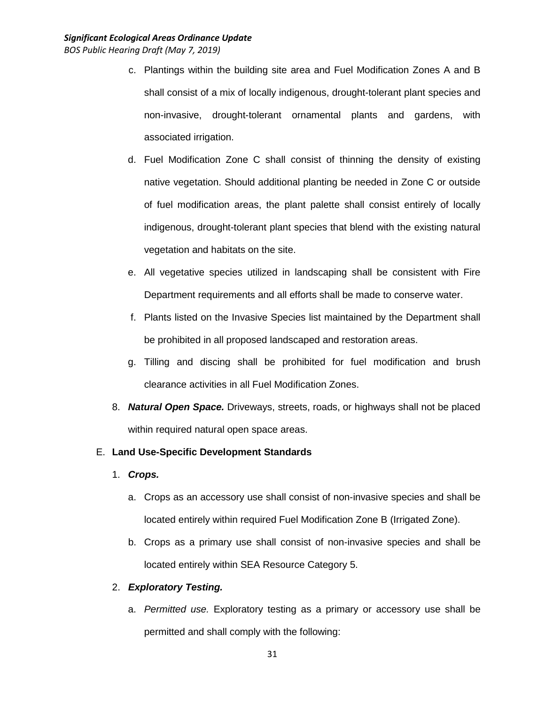- c. Plantings within the building site area and Fuel Modification Zones A and B shall consist of a mix of locally indigenous, drought-tolerant plant species and non-invasive, drought-tolerant ornamental plants and gardens, with associated irrigation.
- d. Fuel Modification Zone C shall consist of thinning the density of existing native vegetation. Should additional planting be needed in Zone C or outside of fuel modification areas, the plant palette shall consist entirely of locally indigenous, drought-tolerant plant species that blend with the existing natural vegetation and habitats on the site.
- e. All vegetative species utilized in landscaping shall be consistent with Fire Department requirements and all efforts shall be made to conserve water.
- f. Plants listed on the Invasive Species list maintained by the Department shall be prohibited in all proposed landscaped and restoration areas.
- g. Tilling and discing shall be prohibited for fuel modification and brush clearance activities in all Fuel Modification Zones.
- 8. *Natural Open Space.* Driveways, streets, roads, or highways shall not be placed within required natural open space areas.

## E. **Land Use-Specific Development Standards**

- 1. *Crops.*
	- a. Crops as an accessory use shall consist of non-invasive species and shall be located entirely within required Fuel Modification Zone B (Irrigated Zone).
	- b. Crops as a primary use shall consist of non-invasive species and shall be located entirely within SEA Resource Category 5.

### 2. *Exploratory Testing.*

a. *Permitted use.* Exploratory testing as a primary or accessory use shall be permitted and shall comply with the following: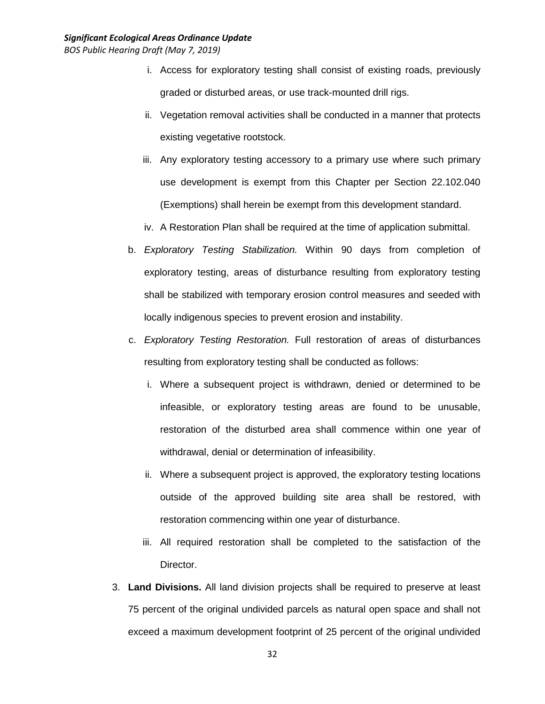- i. Access for exploratory testing shall consist of existing roads, previously graded or disturbed areas, or use track-mounted drill rigs.
- ii. Vegetation removal activities shall be conducted in a manner that protects existing vegetative rootstock.
- iii. Any exploratory testing accessory to a primary use where such primary use development is exempt from this Chapter per Section 22.102.040 (Exemptions) shall herein be exempt from this development standard.
- iv. A Restoration Plan shall be required at the time of application submittal.
- b. *Exploratory Testing Stabilization.* Within 90 days from completion of exploratory testing, areas of disturbance resulting from exploratory testing shall be stabilized with temporary erosion control measures and seeded with locally indigenous species to prevent erosion and instability.
- c. *Exploratory Testing Restoration.* Full restoration of areas of disturbances resulting from exploratory testing shall be conducted as follows:
	- i. Where a subsequent project is withdrawn, denied or determined to be infeasible, or exploratory testing areas are found to be unusable, restoration of the disturbed area shall commence within one year of withdrawal, denial or determination of infeasibility.
	- ii. Where a subsequent project is approved, the exploratory testing locations outside of the approved building site area shall be restored, with restoration commencing within one year of disturbance.
	- iii. All required restoration shall be completed to the satisfaction of the Director.
- 3. **Land Divisions.** All land division projects shall be required to preserve at least 75 percent of the original undivided parcels as natural open space and shall not exceed a maximum development footprint of 25 percent of the original undivided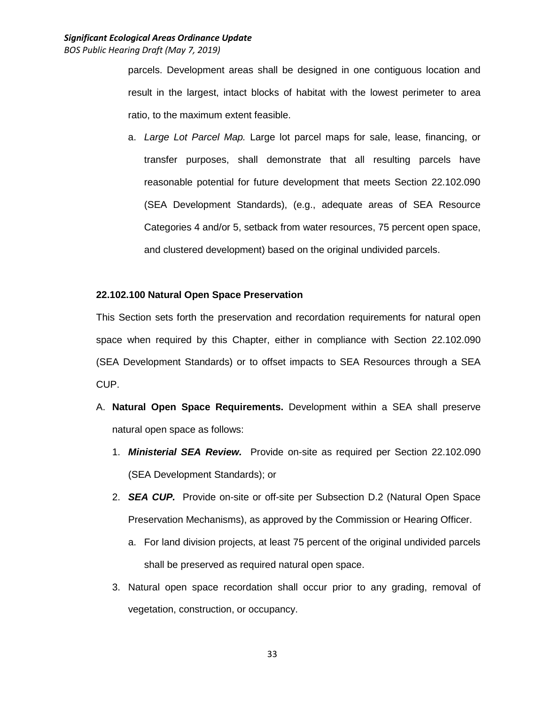parcels. Development areas shall be designed in one contiguous location and result in the largest, intact blocks of habitat with the lowest perimeter to area ratio, to the maximum extent feasible.

a. *Large Lot Parcel Map.* Large lot parcel maps for sale, lease, financing, or transfer purposes, shall demonstrate that all resulting parcels have reasonable potential for future development that meets Section 22.102.090 (SEA Development Standards), (e.g., adequate areas of SEA Resource Categories 4 and/or 5, setback from water resources, 75 percent open space, and clustered development) based on the original undivided parcels.

### **22.102.100 Natural Open Space Preservation**

This Section sets forth the preservation and recordation requirements for natural open space when required by this Chapter, either in compliance with Section 22.102.090 (SEA Development Standards) or to offset impacts to SEA Resources through a SEA CUP.

- A. **Natural Open Space Requirements.** Development within a SEA shall preserve natural open space as follows:
	- 1. *Ministerial SEA Review.* Provide on-site as required per Section 22.102.090 (SEA Development Standards); or
	- 2. *SEA CUP.* Provide on-site or off-site per Subsection D.2 (Natural Open Space Preservation Mechanisms), as approved by the Commission or Hearing Officer.
		- a. For land division projects, at least 75 percent of the original undivided parcels shall be preserved as required natural open space.
	- 3. Natural open space recordation shall occur prior to any grading, removal of vegetation, construction, or occupancy.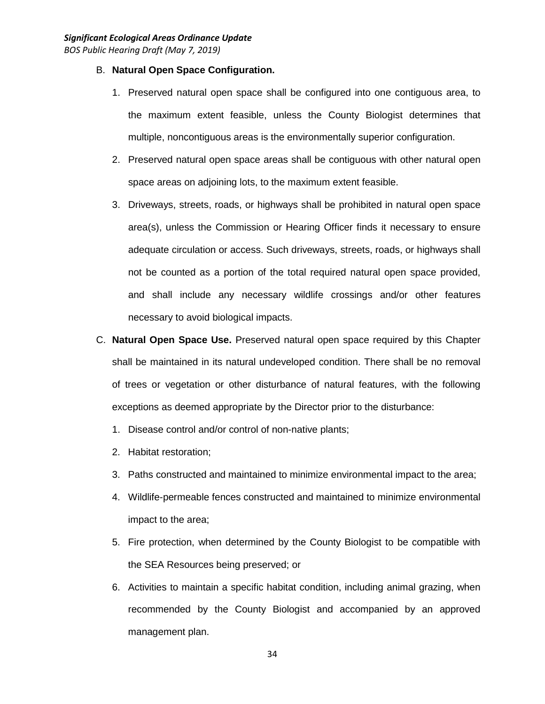- B. **Natural Open Space Configuration.**
	- 1. Preserved natural open space shall be configured into one contiguous area, to the maximum extent feasible, unless the County Biologist determines that multiple, noncontiguous areas is the environmentally superior configuration.
	- 2. Preserved natural open space areas shall be contiguous with other natural open space areas on adjoining lots, to the maximum extent feasible.
	- 3. Driveways, streets, roads, or highways shall be prohibited in natural open space area(s), unless the Commission or Hearing Officer finds it necessary to ensure adequate circulation or access. Such driveways, streets, roads, or highways shall not be counted as a portion of the total required natural open space provided, and shall include any necessary wildlife crossings and/or other features necessary to avoid biological impacts.
- C. **Natural Open Space Use.** Preserved natural open space required by this Chapter shall be maintained in its natural undeveloped condition. There shall be no removal of trees or vegetation or other disturbance of natural features, with the following exceptions as deemed appropriate by the Director prior to the disturbance:
	- 1. Disease control and/or control of non-native plants;
	- 2. Habitat restoration;
	- 3. Paths constructed and maintained to minimize environmental impact to the area;
	- 4. Wildlife-permeable fences constructed and maintained to minimize environmental impact to the area;
	- 5. Fire protection, when determined by the County Biologist to be compatible with the SEA Resources being preserved; or
	- 6. Activities to maintain a specific habitat condition, including animal grazing, when recommended by the County Biologist and accompanied by an approved management plan.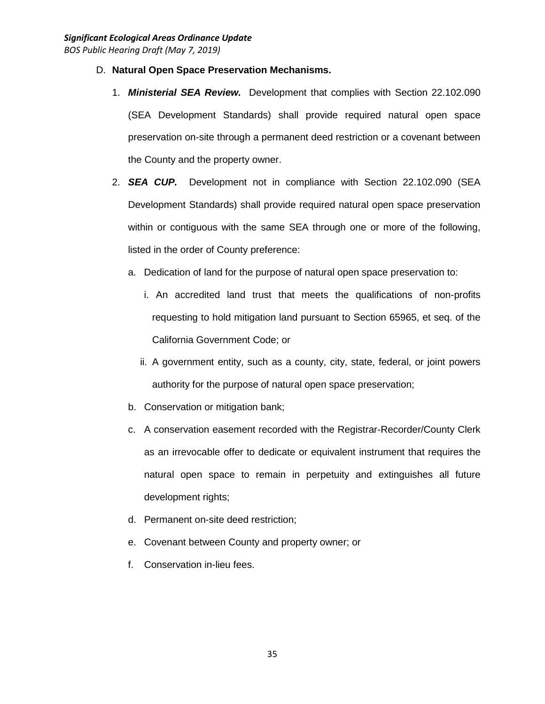- D. **Natural Open Space Preservation Mechanisms.**
	- 1. *Ministerial SEA Review.* Development that complies with Section 22.102.090 (SEA Development Standards) shall provide required natural open space preservation on-site through a permanent deed restriction or a covenant between the County and the property owner.
	- 2. *SEA CUP.* Development not in compliance with Section 22.102.090 (SEA Development Standards) shall provide required natural open space preservation within or contiguous with the same SEA through one or more of the following, listed in the order of County preference:
		- a. Dedication of land for the purpose of natural open space preservation to:
			- i. An accredited land trust that meets the qualifications of non-profits requesting to hold mitigation land pursuant to Section 65965, et seq. of the California Government Code; or
			- ii. A government entity, such as a county, city, state, federal, or joint powers authority for the purpose of natural open space preservation;
		- b. Conservation or mitigation bank;
		- c. A conservation easement recorded with the Registrar-Recorder/County Clerk as an irrevocable offer to dedicate or equivalent instrument that requires the natural open space to remain in perpetuity and extinguishes all future development rights;
		- d. Permanent on-site deed restriction;
		- e. Covenant between County and property owner; or
		- f. Conservation in-lieu fees.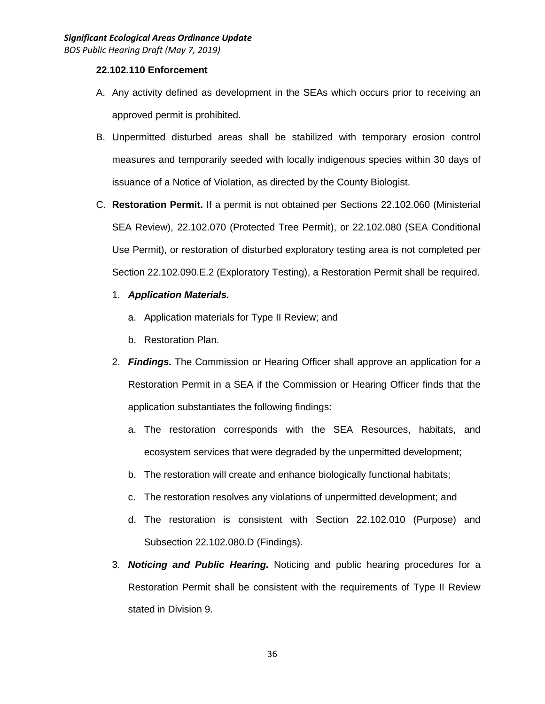### **22.102.110 Enforcement**

- A. Any activity defined as development in the SEAs which occurs prior to receiving an approved permit is prohibited.
- B. Unpermitted disturbed areas shall be stabilized with temporary erosion control measures and temporarily seeded with locally indigenous species within 30 days of issuance of a Notice of Violation, as directed by the County Biologist.
- C. **Restoration Permit.** If a permit is not obtained per Sections 22.102.060 (Ministerial SEA Review), 22.102.070 (Protected Tree Permit), or 22.102.080 (SEA Conditional Use Permit), or restoration of disturbed exploratory testing area is not completed per Section 22.102.090.E.2 (Exploratory Testing), a Restoration Permit shall be required.
	- 1. *Application Materials.*
		- a. Application materials for Type II Review; and
		- b. Restoration Plan.
	- 2. *Findings.* The Commission or Hearing Officer shall approve an application for a Restoration Permit in a SEA if the Commission or Hearing Officer finds that the application substantiates the following findings:
		- a. The restoration corresponds with the SEA Resources, habitats, and ecosystem services that were degraded by the unpermitted development;
		- b. The restoration will create and enhance biologically functional habitats;
		- c. The restoration resolves any violations of unpermitted development; and
		- d. The restoration is consistent with Section 22.102.010 (Purpose) and Subsection 22.102.080.D (Findings).
	- 3. *Noticing and Public Hearing.* Noticing and public hearing procedures for a Restoration Permit shall be consistent with the requirements of Type II Review stated in Division 9.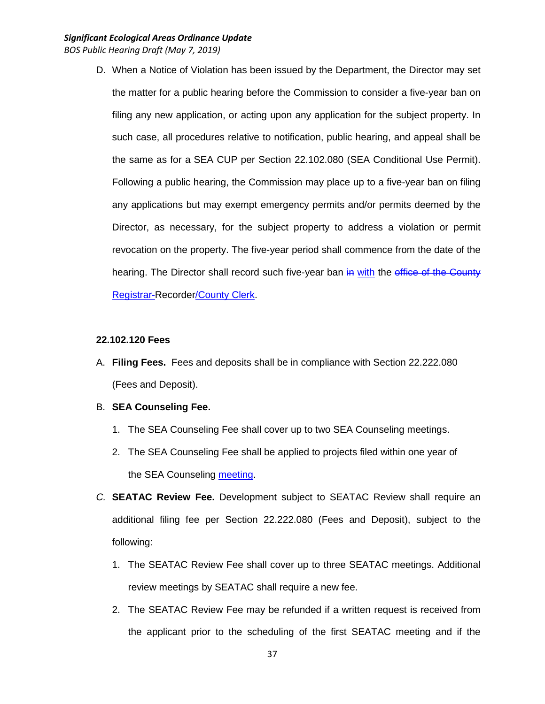D. When a Notice of Violation has been issued by the Department, the Director may set the matter for a public hearing before the Commission to consider a five-year ban on filing any new application, or acting upon any application for the subject property. In such case, all procedures relative to notification, public hearing, and appeal shall be the same as for a SEA CUP per Section 22.102.080 (SEA Conditional Use Permit). Following a public hearing, the Commission may place up to a five-year ban on filing any applications but may exempt emergency permits and/or permits deemed by the Director, as necessary, for the subject property to address a violation or permit revocation on the property. The five-year period shall commence from the date of the hearing. The Director shall record such five-year ban in with the office of the County Registrar-Recorder/County Clerk.

#### **22.102.120 Fees**

- A. **Filing Fees.** Fees and deposits shall be in compliance with Section 22.222.080 (Fees and Deposit).
- B. **SEA Counseling Fee.**
	- 1. The SEA Counseling Fee shall cover up to two SEA Counseling meetings.
	- 2. The SEA Counseling Fee shall be applied to projects filed within one year of the SEA Counseling meeting.
- *C.* **SEATAC Review Fee.** Development subject to SEATAC Review shall require an additional filing fee per Section 22.222.080 (Fees and Deposit), subject to the following:
	- 1. The SEATAC Review Fee shall cover up to three SEATAC meetings. Additional review meetings by SEATAC shall require a new fee.
	- 2. The SEATAC Review Fee may be refunded if a written request is received from the applicant prior to the scheduling of the first SEATAC meeting and if the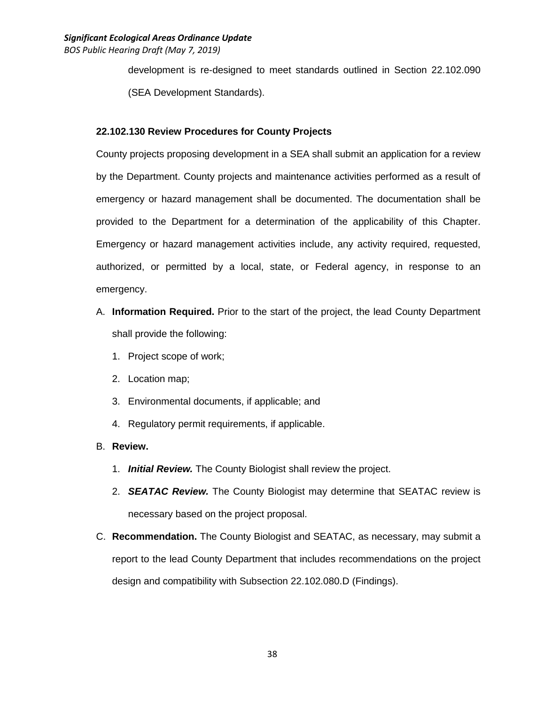development is re-designed to meet standards outlined in Section 22.102.090 (SEA Development Standards).

## **22.102.130 Review Procedures for County Projects**

County projects proposing development in a SEA shall submit an application for a review by the Department. County projects and maintenance activities performed as a result of emergency or hazard management shall be documented. The documentation shall be provided to the Department for a determination of the applicability of this Chapter. Emergency or hazard management activities include, any activity required, requested, authorized, or permitted by a local, state, or Federal agency, in response to an emergency.

- A. **Information Required.** Prior to the start of the project, the lead County Department shall provide the following:
	- 1. Project scope of work;
	- 2. Location map;
	- 3. Environmental documents, if applicable; and
	- 4. Regulatory permit requirements, if applicable.

## B. **Review.**

- 1. *Initial Review.* The County Biologist shall review the project.
- 2. *SEATAC Review.* The County Biologist may determine that SEATAC review is necessary based on the project proposal.
- C. **Recommendation.** The County Biologist and SEATAC, as necessary, may submit a report to the lead County Department that includes recommendations on the project design and compatibility with Subsection 22.102.080.D (Findings).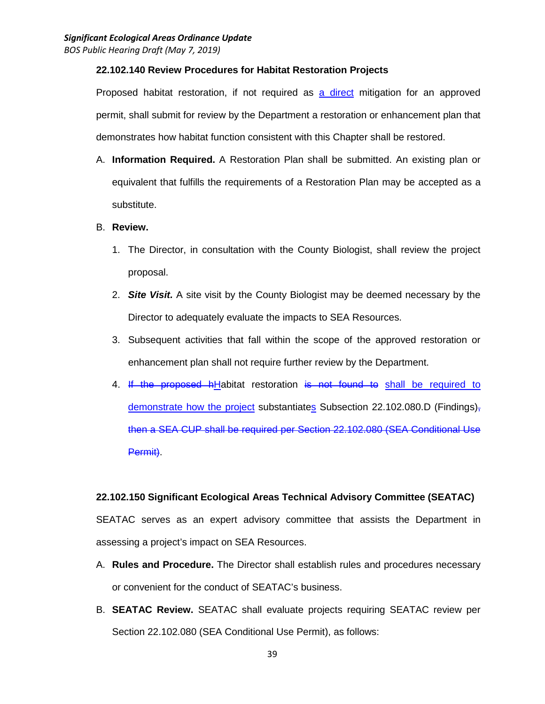### **22.102.140 Review Procedures for Habitat Restoration Projects**

Proposed habitat restoration, if not required as a direct mitigation for an approved permit, shall submit for review by the Department a restoration or enhancement plan that demonstrates how habitat function consistent with this Chapter shall be restored.

A. **Information Required.** A Restoration Plan shall be submitted. An existing plan or equivalent that fulfills the requirements of a Restoration Plan may be accepted as a substitute.

### B. **Review.**

- 1. The Director, in consultation with the County Biologist, shall review the project proposal.
- 2. *Site Visit.* A site visit by the County Biologist may be deemed necessary by the Director to adequately evaluate the impacts to SEA Resources.
- 3. Subsequent activities that fall within the scope of the approved restoration or enhancement plan shall not require further review by the Department.
- 4. If the proposed hHabitat restoration is not found to shall be required to demonstrate how the project substantiates Subsection 22.102.080.D (Findings) $<sub>5</sub>$ </sub> then a SEA CUP shall be required per Section 22.102.080 (SEA Conditional Use Permit).

## **22.102.150 Significant Ecological Areas Technical Advisory Committee (SEATAC)**

SEATAC serves as an expert advisory committee that assists the Department in assessing a project's impact on SEA Resources.

- A. **Rules and Procedure.** The Director shall establish rules and procedures necessary or convenient for the conduct of SEATAC's business.
- B. **SEATAC Review.** SEATAC shall evaluate projects requiring SEATAC review per Section 22.102.080 (SEA Conditional Use Permit), as follows: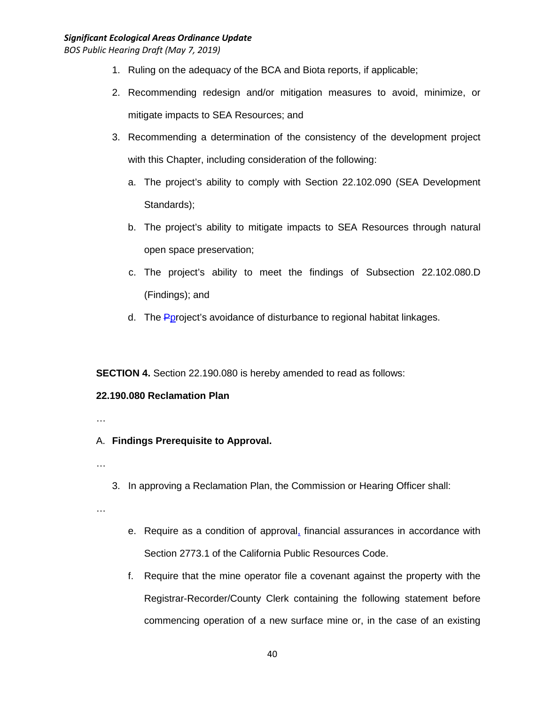### *Significant Ecological Areas Ordinance Update*

*BOS Public Hearing Draft (May 7, 2019)*

- 1. Ruling on the adequacy of the BCA and Biota reports, if applicable;
- 2. Recommending redesign and/or mitigation measures to avoid, minimize, or mitigate impacts to SEA Resources; and
- 3. Recommending a determination of the consistency of the development project with this Chapter, including consideration of the following:
	- a. The project's ability to comply with Section 22.102.090 (SEA Development Standards);
	- b. The project's ability to mitigate impacts to SEA Resources through natural open space preservation;
	- c. The project's ability to meet the findings of Subsection 22.102.080.D (Findings); and
	- d. The **P**project's avoidance of disturbance to regional habitat linkages.

**SECTION 4.** Section 22.190.080 is hereby amended to read as follows:

## **22.190.080 Reclamation Plan**

- …
- A. **Findings Prerequisite to Approval.**
- …
- 3. In approving a Reclamation Plan, the Commission or Hearing Officer shall:

…

- e. Require as a condition of approval, financial assurances in accordance with Section 2773.1 of the California Public Resources Code.
- f. Require that the mine operator file a covenant against the property with the Registrar-Recorder/County Clerk containing the following statement before commencing operation of a new surface mine or, in the case of an existing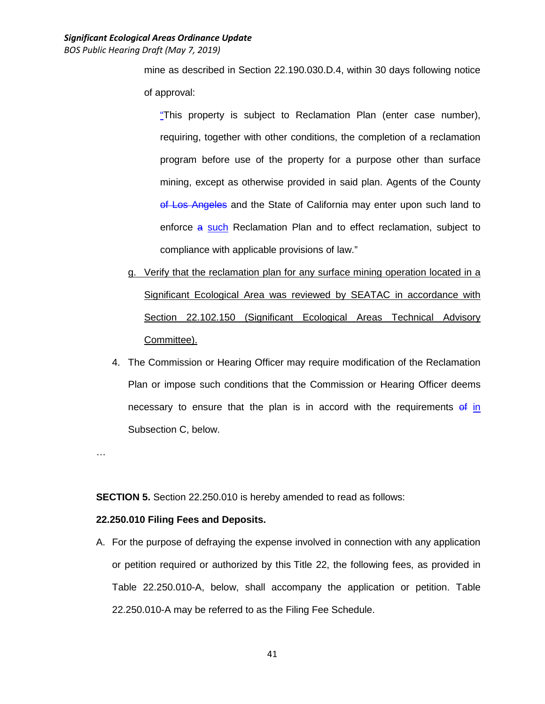mine as described in Section 22.190.030.D.4, within 30 days following notice of approval:

"This property is subject to Reclamation Plan (enter case number), requiring, together with other conditions, the completion of a reclamation program before use of the property for a purpose other than surface mining, except as otherwise provided in said plan. Agents of the County of Los Angeles and the State of California may enter upon such land to enforce a such Reclamation Plan and to effect reclamation, subject to compliance with applicable provisions of law."

- g. Verify that the reclamation plan for any surface mining operation located in a Significant Ecological Area was reviewed by SEATAC in accordance with Section 22.102.150 (Significant Ecological Areas Technical Advisory Committee).
- 4. The Commission or Hearing Officer may require modification of the Reclamation Plan or impose such conditions that the Commission or Hearing Officer deems necessary to ensure that the plan is in accord with the requirements of in Subsection C, below.

…

**SECTION 5.** Section 22.250.010 is hereby amended to read as follows:

## **22.250.010 Filing Fees and Deposits.**

A. For the purpose of defraying the expense involved in connection with any application or petition required or authorized by this Title 22, the following fees, as provided in Table 22.250.010-A, below, shall accompany the application or petition. Table 22.250.010-A may be referred to as the Filing Fee Schedule.